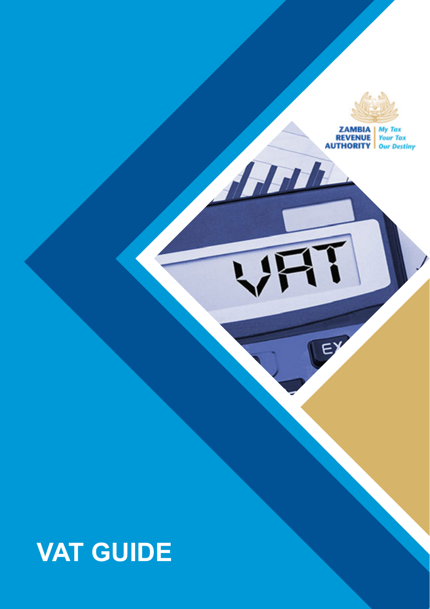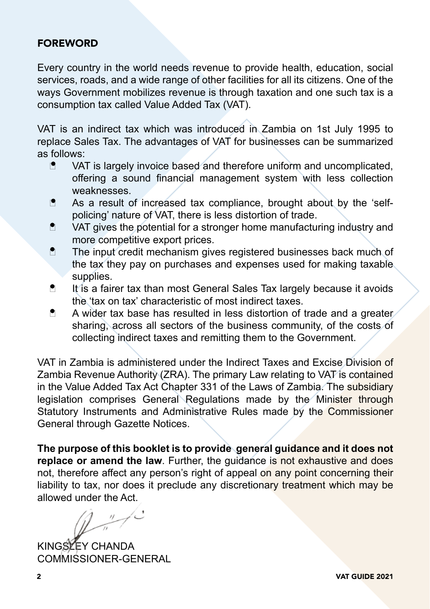#### FOREWORD

Every country in the world needs revenue to provide health, education, social services, roads, and a wide range of other facilities for all its citizens. One of the ways Government mobilizes revenue is through taxation and one such tax is a consumption tax called Value Added Tax (VAT).

VAT is an indirect tax which was introduced in Zambia on 1st July 1995 to replace Sales Tax. The advantages of VAT for businesses can be summarized as follows:

- $\blacksquare$  VAT is largely invoice based and therefore uniform and uncomplicated, offering a sound financial management system with less collection weaknesses.
- **As a result of increased tax compliance, brought about by the 'self**policing' nature of VAT, there is less distortion of trade.
- $\bullet$  VAT gives the potential for a stronger home manufacturing industry and more competitive export prices.
- $\bullet$  The input credit mechanism gives registered businesses back much of the tax they pay on purchases and expenses used for making taxable supplies.
- $\bullet$  It is a fairer tax than most General Sales Tax largely because it avoids the 'tax on tax' characteristic of most indirect taxes.
- $\bullet$  A wider tax base has resulted in less distortion of trade and a greater sharing, across all sectors of the business community, of the costs of collecting indirect taxes and remitting them to the Government.

VAT in Zambia is administered under the Indirect Taxes and Excise Division of Zambia Revenue Authority (ZRA). The primary Law relating to VAT is contained in the Value Added Tax Act Chapter 331 of the Laws of Zambia. The subsidiary legislation comprises General Regulations made by the Minister through Statutory Instruments and Administrative Rules made by the Commissioner General through Gazette Notices.

**The purpose of this booklet is to provide general guidance and it does not replace or amend the law**. Further, the quidance is not exhaustive and does not, therefore affect any person's right of appeal on any point concerning their liability to tax, nor does it preclude any discretionary treatment which may be

allowed under the Act.

KINGSLEY CHANDA COMMISSIONER-GENERAL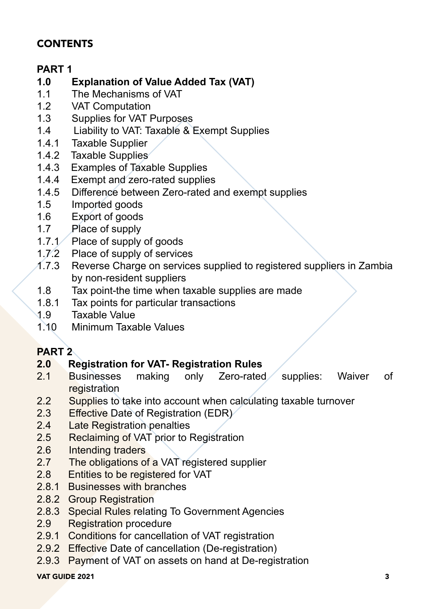# **CONTENTS**

# **PART 1**

- **1.0 Explanation of Value Added Tax (VAT)**
- 1.1 The Mechanisms of VAT<br>1.2 VAT Computation
- 1.2 VAT Computation<br>1.3 Supplies for VAT I
- 1.3 Supplies for VAT Purposes<br>1.4 Liability to VAT: Taxable &
- Liability to VAT: Taxable & Exempt Supplies
- 1.4.1 Taxable Supplier
- 1.4.2 Taxable Supplies<br>1.4.3 Examples of Taxa
- 1.4.3 Examples of Taxable Supplies<br>1.4.4 Exempt and zero-rated supplies
- 1.4.4 Exempt and zero-rated supplies<br>1.4.5 Difference between Zero-rated a
- 1.4.5 Difference between Zero-rated and exempt supplies<br>1.5 Imported goods
- 1.5 Imported goods<br>1.6 Export of goods
- 1.6 Export of goods<br>1.7 Place of supply
- Place of supply
- 1.7.1 Place of supply of goods
- 1.7.2 Place of supply of services
- 1.7.3 Reverse Charge on services supplied to registered suppliers in Zambia by non-resident suppliers
- 1.8 Tax point-the time when taxable supplies are made
- 1.8.1 Tax points for particular transactions
- 1.9 Taxable Value
- 1.10 Minimum Taxable Values

# **PART 2**

# **2.0 Registration for VAT- Registration Rules**<br>**2.1 Businesses making only Zero-rated**

- $m$ aking only Zero-rated supplies: Waiver of **registration**
- 2.2 Supplies to take into account when calculating taxable turnover<br>2.3 Effective Date of Registration (EDR)
- 2.3 Effective Date of Registration (EDR)<br>2.4 Late Registration penalties
- Late Registration penalties
- 2.5 Reclaiming of VAT prior to Registration
- 2.6 Intending traders
- 2.7 The obligations of a VAT registered supplier
- 2.8 Entities to be registered for VAT
- 2.8.1 Businesses with branches
- 2.8.2 Group Registration
- 2.8.3 Special Rules relating To Government Agencies
- 2.9 Registration procedure
- 2.9.1 Conditions for cancellation of VAT registration
- 2.9.2 Effective Date of cancellation (De-registration)
- 2.9.3 Payment of VAT on assets on hand at De-registration

VAT GUIDE 2021 3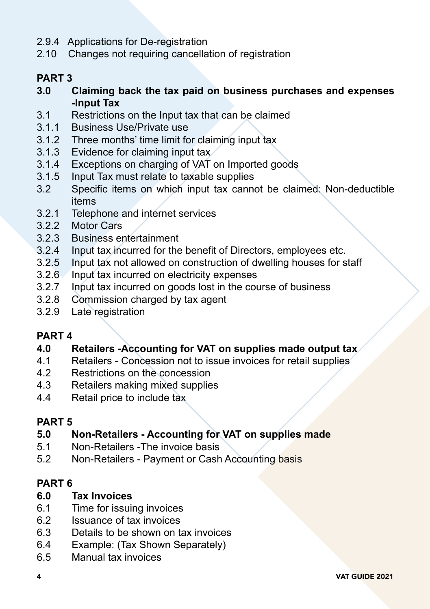- 2.9.4 Applications for De-registration
- 2.10 Changes not requiring cancellation of registration

- **3.0 Claiming back the tax paid on business purchases and expenses -Input Tax**
- 3.1 Restrictions on the Input tax that can be claimed
- 3.1.1 Business Use/Private use
- 3.1.2 Three months' time limit for claiming input tax
- 3.1.3 Evidence for claiming input tax<br>3.1.4 Exceptions on charging of VAT
- 3.1.4 Exceptions on charging of VAT on Imported goods<br>3.1.5 Input Tax must relate to taxable supplies
- Input Tax must relate to taxable supplies
- 3.2 Specific items on which input tax cannot be claimed: Non-deductible items
- 3.2.1 Telephone and internet services
- 3.2.2 Motor Cars<br>3.2.3 Business et
- 3.2.3 Business entertainment
- 3.2.4 Input tax incurred for the benefit of Directors, employees etc.<br>3.2.5 Input tax not allowed on construction of dwelling houses for s
- Input tax not allowed on construction of dwelling houses for staff
- 3.2.6 Input tax incurred on electricity expenses<br>3.2.7 Input tax incurred on goods lost in the cou
- Input tax incurred on goods lost in the course of business
- 3.2.8 Commission charged by tax agent
- 3.2.9 Late registration

# **PART 4**

# **4.0 Retailers -Accounting for VAT on supplies made output tax**

- 4.1 Retailers Concession not to issue invoices for retail supplies
- 4.2 Restrictions on the concession
- 4.3 Retailers making mixed supplies
- 4.4 Retail price to include tax

#### **PART 5**

# **5.0 Non-Retailers - Accounting for VAT on supplies made**

- 5.1 Non-Retailers -The invoice basis
- 5.2 Non-Retailers Payment or Cash Accounting basis

#### **PART 6**

#### **6.0 Tax Invoices**

- 6.1 Time for issuing invoices<br>6.2 Issuance of tax invoices
- Issuance of tax invoices
- 6.3 Details to be shown on tax invoices
- 6.4 Example: (Tax Shown Separately)
- 6.5 Manual tax invoices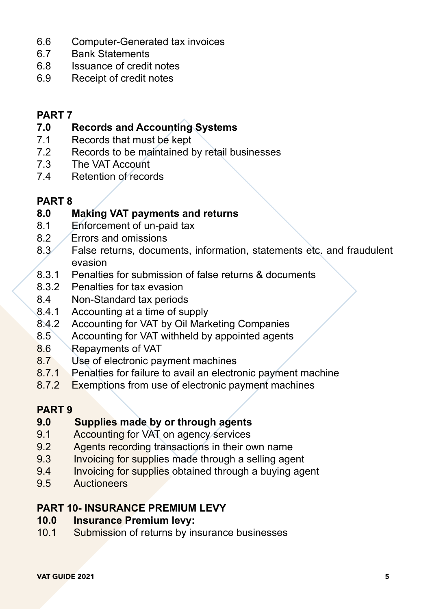- 6.6 Computer-Generated tax invoices
- 6.7 Bank Statements
- 6.8 Issuance of credit notes
- 6.9 Receipt of credit notes

# **PART 7**<br>7.0 **1**

# **7.0 Records and Accounting Systems**

- Records that must be kept
- 7.2 Records to be maintained by retail businesses<br>7.3 The VAT Account
- The VAT Account
- 7.4 Retention of records

# **PART 8**

# **8.0 Making VAT payments and returns**

- Enforcement of un-paid tax
- 8.2 Errors and omissions
- 8.3 False returns, documents, information, statements etc. and fraudulent evasion
- 8.3.1 Penalties for submission of false returns & documents
- 8.3.2 Penalties for tax evasion
- 8.4 Non-Standard tax periods
- 8.4.1 Accounting at a time of supply
- 8.4.2 Accounting for VAT by Oil Marketing Companies
- 8.5 Accounting for VAT withheld by appointed agents
- 8.6 Repayments of VAT
- 8.7 Use of electronic payment machines
- 8.7.1 Penalties for failure to avail an electronic payment machine
- 8.7.2 Exemptions from use of electronic payment machines

#### **PART 9**

# **9.0 Supplies made by or through agents**<br>**9.1** Accounting for VAT on agency services

- Accounting for VAT on agency services
- 9.2 Agents recording transactions in their own name
- 9.3 Invoicing for supplies made through a selling agent
- 9.4 Invoicing for supplies obtained through a buying agent<br>9.5 Auctioneers
- **Auctioneers**

#### **PART 10- INSURANCE PREMIUM LEVY**

# **10.0 Insurance Premium levy:**

10.1 Submission of returns by insurance businesses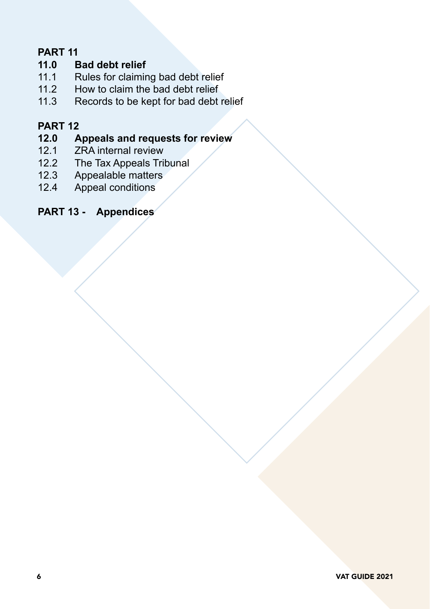# **11.0 Bad debt relief**

- Rules for claiming bad debt relief
- 11.2 How to claim the bad debt relief<br>11.3 Records to be kept for bad debt
- Records to be kept for bad debt relief

# **PART 12**

# **12.0 Appeals and requests for review**

- 12.1 ZRA internal review
- 12.2 The Tax Appeals Tribunal
- 12.3 Appealable matters
- 12.4 Appeal conditions

# **PART 13 - Appendices**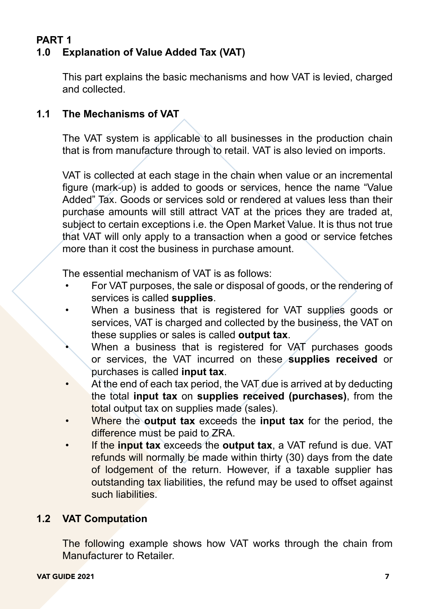# **PART 1 1.0 Explanation of Value Added Tax (VAT)**

This part explains the basic mechanisms and how VAT is levied, charged and collected.

# **1.1 The Mechanisms of VAT**

The VAT system is applicable to all businesses in the production chain that is from manufacture through to retail. VAT is also levied on imports.

VAT is collected at each stage in the chain when value or an incremental figure (mark-up) is added to goods or services, hence the name "Value Added" Tax. Goods or services sold or rendered at values less than their purchase amounts will still attract VAT at the prices they are traded at, subject to certain exceptions i.e. the Open Market Value. It is thus not true that VAT will only apply to a transaction when a good or service fetches more than it cost the business in purchase amount.

The essential mechanism of VAT is as follows:

- For VAT purposes, the sale or disposal of goods, or the rendering of services is called **supplies**.
- When a business that is registered for VAT supplies goods or services, VAT is charged and collected by the business, the VAT on these supplies or sales is called **output tax**.
- When a business that is registered for VAT purchases goods or services, the VAT incurred on these **supplies received** or purchases is called **input tax**.
- At the end of each tax period, the VAT due is arrived at by deducting the total **input tax** on **supplies received (purchases)**, from the total output tax on supplies made (sales).
- **Where the output tax** exceeds the **input tax** for the period, the difference must be paid to ZRA.
- If the *input tax* exceeds the **output tax**, a VAT refund is due. VAT refunds will normally be made within thirty (30) days from the date of lodgement of the return. However, if a taxable supplier has outstanding tax liabilities, the refund may be used to offset against such liabilities.

# **1.2 VAT Computation**

The following example shows how VAT works through the chain from Manufacturer to Retailer.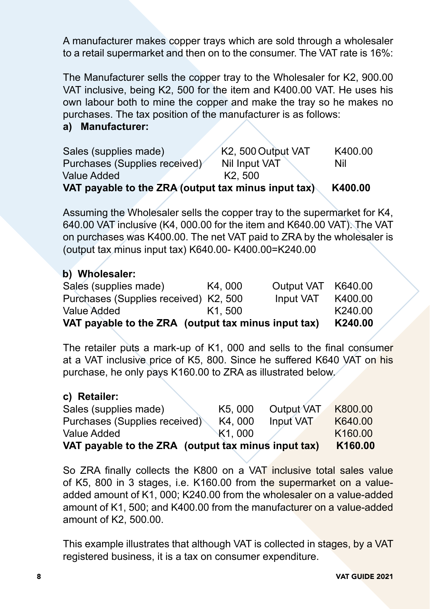A manufacturer makes copper trays which are sold through a wholesaler to a retail supermarket and then on to the consumer. The VAT rate is 16%:

 The Manufacturer sells the copper tray to the Wholesaler for K2, 900.00 VAT inclusive, being K2, 500 for the item and K400.00 VAT. He uses his own labour both to mine the copper and make the tray so he makes no purchases. The tax position of the manufacturer is as follows:

#### **a) Manufacturer:**

| Sales (supplies made)         | K2, 500 Output VAT                                  | K400.00 |
|-------------------------------|-----------------------------------------------------|---------|
| Purchases (Supplies received) | Nil Input VAT                                       | Nil     |
| Value Added                   | K <sub>2</sub> .500                                 |         |
|                               | VAT payable to the ZRA (output tax minus input tax) | K400.00 |

 Assuming the Wholesaler sells the copper tray to the supermarket for K4, 640.00 VAT inclusive (K4, 000.00 for the item and K640.00 VAT). The VAT on purchases was K400.00. The net VAT paid to ZRA by the wholesaler is (output tax minus input tax) K640.00- K400.00=K240.00

## **b) Wholesaler:**

| Sales (supplies made)                               | K4.000 | Output VAT K640.00 |         |
|-----------------------------------------------------|--------|--------------------|---------|
| Purchases (Supplies received) K2, 500               |        | Input VAT          | K400.00 |
| Value Added                                         | K1.500 |                    | K240.00 |
| VAT payable to the ZRA (output tax minus input tax) |        |                    | K240.00 |

The retailer puts a mark-up of K1, 000 and sells to the final consumer at a VAT inclusive price of K5, 800. Since he suffered K640 VAT on his purchase, he only pays K160.00 to ZRA as illustrated below.

#### **c) Retailer:**

| K <sub>160.00</sub> |
|---------------------|
|                     |
| K640.00             |
| K800.00             |
|                     |

So ZRA finally collects the K800 on a VAT inclusive total sales value of K5, 800 in 3 stages, i.e. K160.00 from the supermarket on a valueadded amount of K1, 000; K240.00 from the wholesaler on a value-added amount of K1, 500; and K400.00 from the manufacturer on a value-added amount of K2, 500.00.

This example illustrates that although VAT is collected in stages, by a VAT registered business, it is a tax on consumer expenditure.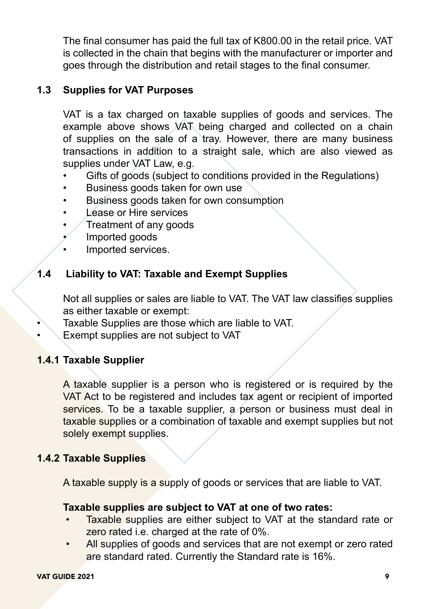The final consumer has paid the full tax of K800.00 in the retail price. VAT is collected in the chain that begins with the manufacturer or importer and goes through the distribution and retail stages to the final consumer.

# **1.3 Supplies for VAT Purposes**

VAT is a tax charged on taxable supplies of goods and services. The example above shows VAT being charged and collected on a chain of supplies on the sale of a tray. However, there are many business transactions in addition to a straight sale, which are also viewed as supplies under VAT Law, e.g.

- Gifts of goods (subject to conditions provided in the Regulations)
- Business goods taken for own use
- • Business goods taken for own consumption
- Lease or Hire services
- Treatment of any goods
- Imported goods
- Imported services.

# **1.4 Liability to VAT: Taxable and Exempt Supplies**

 Not all supplies or sales are liable to VAT. The VAT law classifies supplies as either taxable or exempt:

- Taxable Supplies are those which are liable to VAT.
- Exempt supplies are not subject to VAT

# **1.4.1 Taxable Supplier**

A taxable supplier is a person who is registered or is required by the VAT Act to be registered and includes tax agent or recipient of imported services. To be a taxable supplier, a person or business must deal in taxable supplies or a combination of taxable and exempt supplies but not solely exempt supplies.

# **1.4.2 Taxable Supplies**

A taxable supply is a supply of goods or services that are liable to VAT.

#### **Taxable supplies are subject to VAT at one of two rates:**

- Taxable supplies are either subject to VAT at the standard rate or zero rated i.e. charged at the rate of 0%.
- All supplies of goods and services that are not exempt or zero rated are standard rated. Currently the Standard rate is 16%.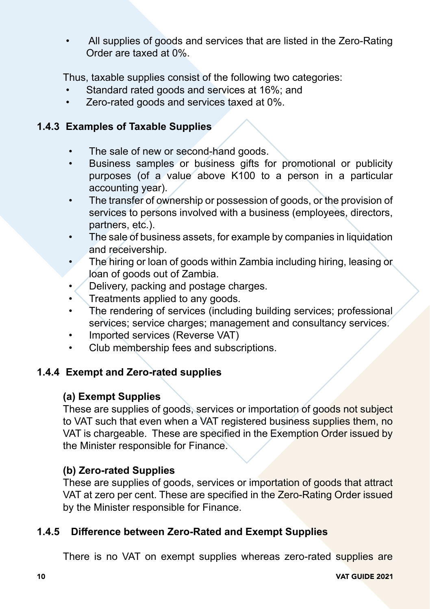All supplies of goods and services that are listed in the Zero-Rating Order are taxed at 0%.

Thus, taxable supplies consist of the following two categories:

- Standard rated goods and services at 16%; and
- • Zero-rated goods and services taxed at 0%.

# **1.4.3 Examples of Taxable Supplies**

- The sale of new or second-hand goods.
- Business samples or business gifts for promotional or publicity purposes (of a value above K100 to a person in a particular accounting year).
- The transfer of ownership or possession of goods, or the provision of services to persons involved with a business (employees, directors, partners, etc.).
- The sale of business assets, for example by companies in liquidation and receivership.
- The hiring or loan of goods within Zambia including hiring, leasing or loan of goods out of Zambia.
- Delivery, packing and postage charges.
- Treatments applied to any goods.
- The rendering of services (including building services; professional services; service charges; management and consultancy services.
- Imported services (Reverse VAT)
- • Club membership fees and subscriptions.

# **1.4.4 Exempt and Zero-rated supplies**

# **(a) Exempt Supplies**

These are supplies of goods, services or importation of goods not subject to VAT such that even when a VAT registered business supplies them, no VAT is chargeable. These are specified in the Exemption Order issued by the Minister responsible for Finance.

# **(b) Zero-rated Supplies**

These are supplies of goods, services or importation of goods that attract VAT at zero per cent. These are specified in the Zero-Rating Order issued by the Minister responsible for Finance.

# **1.4.5 Difference between Zero-Rated and Exempt Supplies**

 There is no VAT on exempt supplies whereas zero-rated supplies are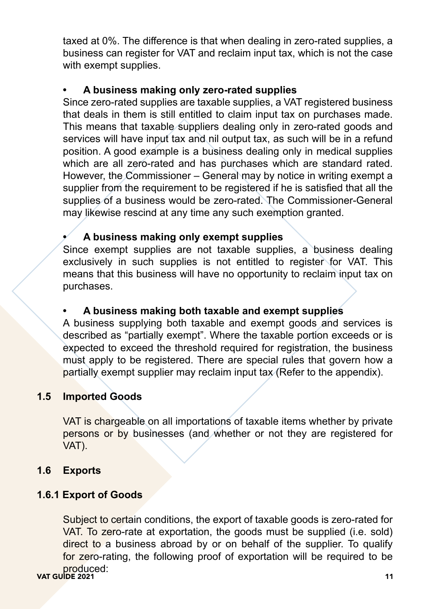taxed at 0%. The difference is that when dealing in zero-rated supplies, a business can register for VAT and reclaim input tax, which is not the case with exempt supplies.

# **• A business making only zero-rated supplies**

Since zero-rated supplies are taxable supplies, a VAT registered business that deals in them is still entitled to claim input tax on purchases made. This means that taxable suppliers dealing only in zero-rated goods and services will have input tax and nil output tax, as such will be in a refund position. A good example is a business dealing only in medical supplies which are all zero-rated and has purchases which are standard rated. However, the Commissioner – General may by notice in writing exempt a supplier from the requirement to be registered if he is satisfied that all the supplies of a business would be zero-rated. The Commissioner-General may likewise rescind at any time any such exemption granted.

## **• A business making only exempt supplies**

Since exempt supplies are not taxable supplies, a business dealing exclusively in such supplies is not entitled to register for VAT. This means that this business will have no opportunity to reclaim input tax on purchases.

#### **• A business making both taxable and exempt supplies**

A business supplying both taxable and exempt goods and services is described as "partially exempt". Where the taxable portion exceeds or is expected to exceed the threshold required for registration, the business must apply to be registered. There are special rules that govern how a partially exempt supplier may reclaim input tax (Refer to the appendix).

# **1.5 Imported Goods**

VAT is chargeable on all importations of taxable items whether by private persons or by businesses (and whether or not they are registered for VAT).

# **1.6 Exports**

# **1.6.1 Export of Goods**

VAT GUÍDE 2021 **11. Internacional de la contrata de la contrata de la contrata de la contrata de la contrata d**  Subject to certain conditions, the export of taxable goods is zero-rated for VAT. To zero-rate at exportation, the goods must be supplied (i.e. sold) direct to a business abroad by or on behalf of the supplier. To qualify for zero-rating, the following proof of exportation will be required to be produced:<br>VAT GUIDE 2021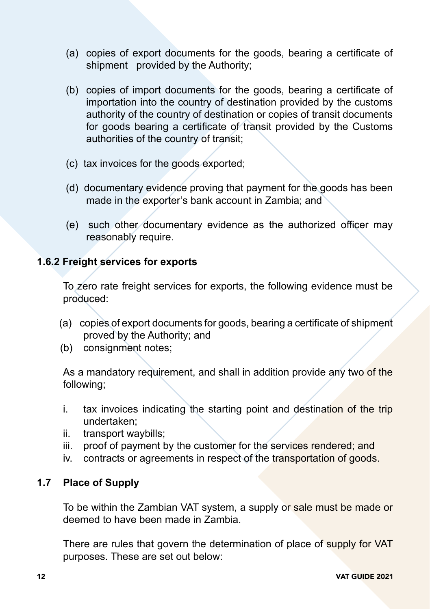- (a) copies of export documents for the goods, bearing a certificate of shipment provided by the Authority;
- (b) copies of import documents for the goods, bearing a certificate of importation into the country of destination provided by the customs authority of the country of destination or copies of transit documents for goods bearing a certificate of transit provided by the Customs authorities of the country of transit;
- (c) tax invoices for the goods exported;
- (d) documentary evidence proving that payment for the goods has been made in the exporter's bank account in Zambia; and
- (e) such other documentary evidence as the authorized officer may reasonably require.

## **1.6.2 Freight services for exports**

To zero rate freight services for exports, the following evidence must be produced:

- (a) copies of export documents for goods, bearing a certificate of shipment proved by the Authority; and
- (b) consignment notes;

As a mandatory requirement, and shall in addition provide any two of the following;

- i. tax invoices indicating the starting point and destination of the trip undertaken;
- ii. transport waybills;
- iii. proof of payment by the customer for the services rendered; and
- iv. contracts or agreements in respect of the transportation of goods.

#### **1.7 Place of Supply**

To be within the Zambian VAT system, a supply or sale must be made or deemed to have been made in Zamhia

There are rules that govern the determination of place of supply for VAT purposes. These are set out below: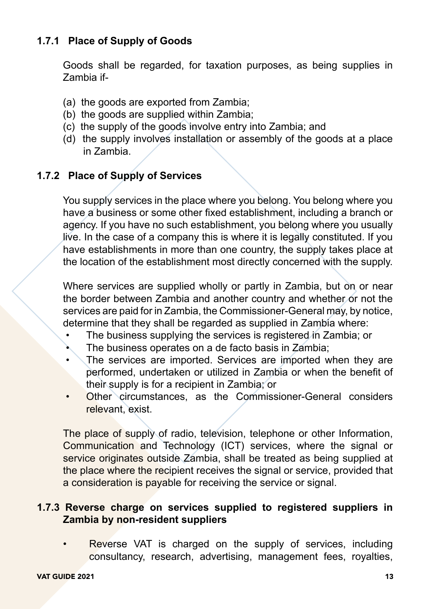# **1.7.1 Place of Supply of Goods**

Goods shall be regarded, for taxation purposes, as being supplies in Zambia if-

- (a) the goods are exported from Zambia;
- (b) the goods are supplied within Zambia;
- (c) the supply of the goods involve entry into Zambia; and
- (d) the supply involves installation or assembly of the goods at a place in Zambia.

# **1.7.2 Place of Supply of Services**

 You supply services in the place where you belong. You belong where you have a business or some other fixed establishment, including a branch or agency. If you have no such establishment, you belong where you usually live. In the case of a company this is where it is legally constituted. If you have establishments in more than one country, the supply takes place at the location of the establishment most directly concerned with the supply.

 Where services are supplied wholly or partly in Zambia, but on or near the border between Zambia and another country and whether or not the services are paid for in Zambia, the Commissioner-General may, by notice, determine that they shall be regarded as supplied in Zambia where:

- The business supplying the services is registered in Zambia; or
- The business operates on a de facto basis in Zambia;
- The services are imported. Services are imported when they are performed, undertaken or utilized in Zambia or when the benefit of their supply is for a recipient in Zambia; or
- Other circumstances, as the Commissioner-General considers relevant, exist.

 The place of supply of radio, television, telephone or other Information, Communication and Technology (ICT) services, where the signal or service originates outside Zambia, shall be treated as being supplied at the place where the recipient receives the signal or service, provided that a consideration is payable for receiving the service or signal.

#### **1.7.3 Reverse charge on services supplied to registered suppliers in Zambia by non-resident suppliers**

**Reverse VAT is charged on the supply of services, including** consultancy, research, advertising, management fees, royalties,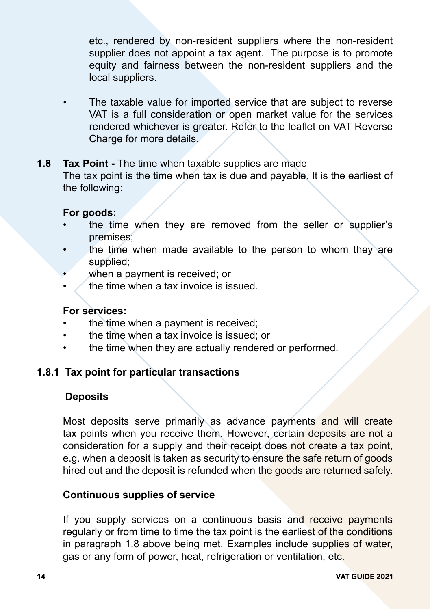etc., rendered by non-resident suppliers where the non-resident supplier does not appoint a tax agent. The purpose is to promote equity and fairness between the non-resident suppliers and the local suppliers.

The taxable value for imported service that are subject to reverse VAT is a full consideration or open market value for the services rendered whichever is greater. Refer to the leaflet on VAT Reverse Charge for more details.

#### **1.8 Tax Point -** The time when taxable supplies are made

 The tax point is the time when tax is due and payable. It is the earliest of the following:

#### **For goods:**

- the time when they are removed from the seller or supplier's premises;
- the time when made available to the person to whom they are supplied;
- when a payment is received; or
- the time when a tax invoice is issued.

#### **For services:**

- the time when a payment is received;
- the time when a tax invoice is issued; or
- the time when they are actually rendered or performed.

#### **1.8.1 Tax point for particular transactions**

#### **Deposits**

Most deposits serve primarily as advance payments and will create tax points when you receive them. However, certain deposits are not a consideration for a supply and their receipt does not create a tax point, e.g. when a deposit is taken as security to ensure the safe return of goods hired out and the deposit is refunded when the goods are returned safely.

#### **Continuous supplies of service**

If you supply services on a continuous basis and receive payments regularly or from time to time the tax point is the earliest of the conditions in paragraph 1.8 above being met. Examples include supplies of water, gas or any form of power, heat, refrigeration or ventilation, etc.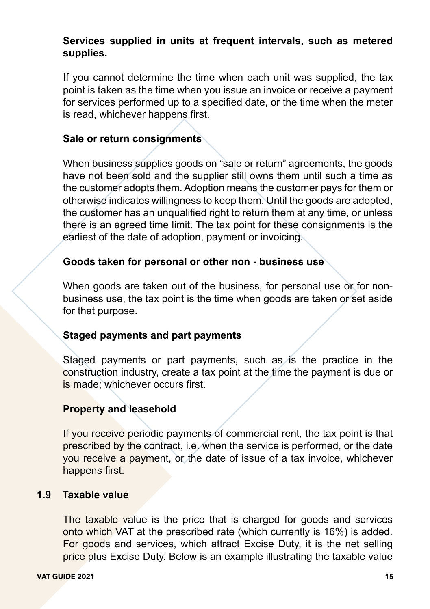# **Services supplied in units at frequent intervals, such as metered supplies.**

If you cannot determine the time when each unit was supplied, the tax point is taken as the time when you issue an invoice or receive a payment for services performed up to a specified date, or the time when the meter is read, whichever happens first.

# **Sale or return consignments**

When business supplies goods on "sale or return" agreements, the goods have not been sold and the supplier still owns them until such a time as the customer adopts them. Adoption means the customer pays for them or otherwise indicates willingness to keep them. Until the goods are adopted, the customer has an unqualified right to return them at any time, or unless there is an agreed time limit. The tax point for these consignments is the earliest of the date of adoption, payment or invoicing.

#### **Goods taken for personal or other non - business use**

When goods are taken out of the business, for personal use or for nonbusiness use, the tax point is the time when goods are taken or set aside for that purpose.

# **Staged payments and part payments**

Staged payments or part payments, such as is the practice in the construction industry, create a tax point at the time the payment is due or is made; whichever occurs first.

#### **Property and leasehold**

If you receive periodic payments of commercial rent, the tax point is that prescribed by the contract, i.e. when the service is performed, or the date you receive a payment, or the date of issue of a tax invoice, whichever happens first.

#### **1.9 Taxable value**

The taxable value is the price that is charged for goods and services onto which VAT at the prescribed rate (which currently is 16%) is added. For goods and services, which attract Excise Duty, it is the net selling price plus Excise Duty. Below is an example illustrating the taxable value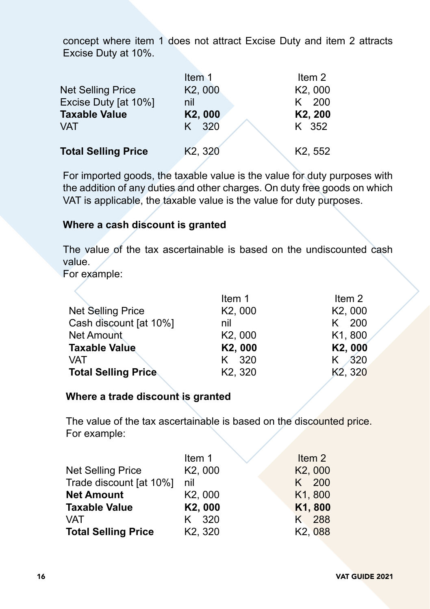concept where item 1 does not attract Excise Duty and item 2 attracts Excise Duty at 10%.

|                            | Item 1  | Item 2               |
|----------------------------|---------|----------------------|
| <b>Net Selling Price</b>   | K2,000  | K2,000               |
| Excise Duty [at 10%]       | nil     | $K$ 200              |
| <b>Taxable Value</b>       | K2,000  | K2, 200              |
| VAT                        | K 320   | K 352                |
| <b>Total Selling Price</b> | K2, 320 | K <sub>2</sub> , 552 |

For imported goods, the taxable value is the value for duty purposes with the addition of any duties and other charges. On duty free goods on which VAT is applicable, the taxable value is the value for duty purposes.

# **Where a cash discount is granted**

The value of the tax ascertainable is based on the undiscounted cash value.

For example:

|                            | Item 1               | Item 2               |
|----------------------------|----------------------|----------------------|
| Net Selling Price          | K2,000               | K2,000               |
| Cash discount [at 10%]     | nil                  | $K$ 200              |
| Net Amount                 | K <sub>2</sub> , 000 | K1, 800              |
| <b>Taxable Value</b>       | K2,000               | K2,000               |
| <b>VAT</b>                 | K 320                | K $320$              |
| <b>Total Selling Price</b> | K <sub>2</sub> , 320 | K <sub>2</sub> , 320 |

# **Where a trade discount is granted**

The value of the tax ascertainable is based on the discounted price. For example:

|                            | Item 1               | Item $2$             |
|----------------------------|----------------------|----------------------|
| <b>Net Selling Price</b>   | K <sub>2</sub> , 000 | K2,000               |
| Trade discount [at 10%]    | nil                  | K 200                |
| <b>Net Amount</b>          | K2,000               | K1,800               |
| <b>Taxable Value</b>       | K2,000               | K1,800               |
| <b>VAT</b>                 | K 320                | K 288                |
| <b>Total Selling Price</b> | K2, 320              | K <sub>2</sub> , 088 |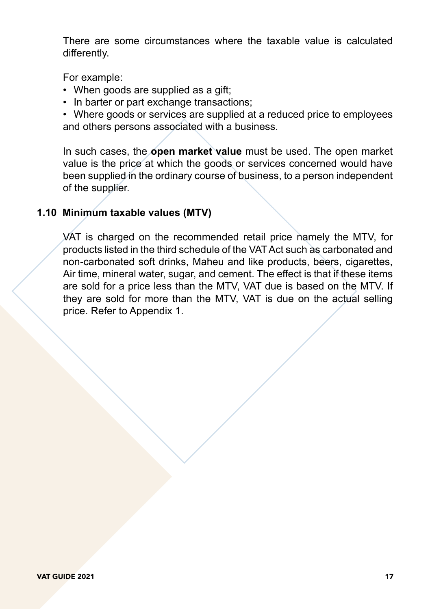There are some circumstances where the taxable value is calculated differently.

For example:

- When goods are supplied as a gift;
- In barter or part exchange transactions:
- Where goods or services are supplied at a reduced price to employees and others persons associated with a business.

In such cases, the **open market value** must be used. The open market value is the price at which the goods or services concerned would have been supplied in the ordinary course of business, to a person independent of the supplier.

# **1.10 Minimum taxable values (MTV)**

VAT is charged on the recommended retail price namely the MTV, for products listed in the third schedule of the VAT Act such as carbonated and non-carbonated soft drinks, Maheu and like products, beers, cigarettes, Air time, mineral water, sugar, and cement. The effect is that if these items are sold for a price less than the MTV, VAT due is based on the MTV. If they are sold for more than the MTV, VAT is due on the actual selling price. Refer to Appendix 1.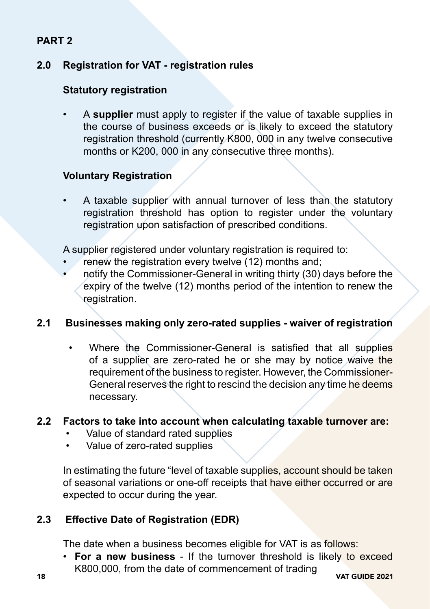# **2.0 Registration for VAT - registration rules**

# **Statutory registration**

A **supplier** must apply to register if the value of taxable supplies in the course of business exceeds or is likely to exceed the statutory registration threshold (currently K800, 000 in any twelve consecutive months or K200, 000 in any consecutive three months).

# **Voluntary Registration**

A taxable supplier with annual turnover of less than the statutory registration threshold has option to register under the voluntary registration upon satisfaction of prescribed conditions.

A supplier registered under voluntary registration is required to:

- renew the registration every twelve (12) months and;
- notify the Commissioner-General in writing thirty (30) days before the expiry of the twelve (12) months period of the intention to renew the registration.

# **2.1 Businesses making only zero-rated supplies - waiver of registration**

Where the Commissioner-General is satisfied that all supplies of a supplier are zero-rated he or she may by notice waive the requirement of the business to register. However, the Commissioner-General reserves the right to rescind the decision any time he deems necessary.

#### **2.2 Factors to take into account when calculating taxable turnover are:**

- Value of standard rated supplies
- • Value of zero-rated supplies

In estimating the future "level of taxable supplies, account should be taken of seasonal variations or one-off receipts that have either occurred or are expected to occur during the year.

# **2.3 Effective Date of Registration (EDR)**

The date when a business becomes eligible for VAT is as follows:

• For a new business - If the turnover threshold is likely to exceed K800,000, from the date of commencement of trading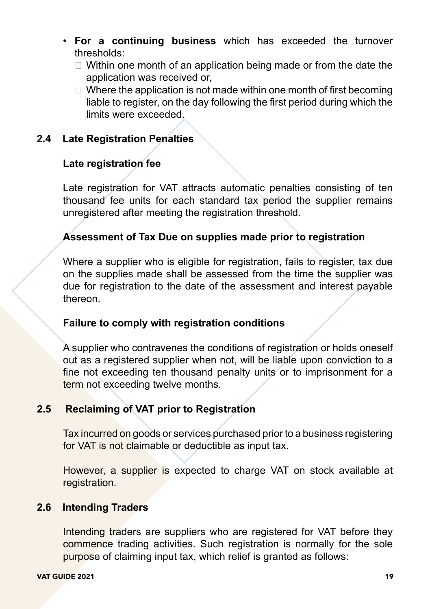- • **For a continuing business** which has exceeded the turnover thresholds:
	- $\Box$  Within one month of an application being made or from the date the application was received or,
	- $\Box$  Where the application is not made within one month of first becoming liable to register, on the day following the first period during which the limits were exceeded.

# **2.4 Late Registration Penalties**

#### **Late registration fee**

Late registration for VAT attracts automatic penalties consisting of ten thousand fee units for each standard tax period the supplier remains unregistered after meeting the registration threshold.

## **Assessment of Tax Due on supplies made prior to registration**

Where a supplier who is eligible for registration, fails to register, tax due on the supplies made shall be assessed from the time the supplier was due for registration to the date of the assessment and interest payable thereon.

#### **Failure to comply with registration conditions**

A supplier who contravenes the conditions of registration or holds oneself out as a registered supplier when not, will be liable upon conviction to a fine not exceeding ten thousand penalty units or to imprisonment for a term not exceeding twelve months.

#### **2.5 Reclaiming of VAT prior to Registration**

Tax incurred on goods or services purchased prior to a business registering for VAT is not claimable or deductible as input tax.

However, a supplier is expected to charge VAT on stock available at registration.

#### **2.6 Intending Traders**

Intending traders are suppliers who are registered for VAT before they commence trading activities. Such registration is normally for the sole purpose of claiming input tax, which relief is granted as follows: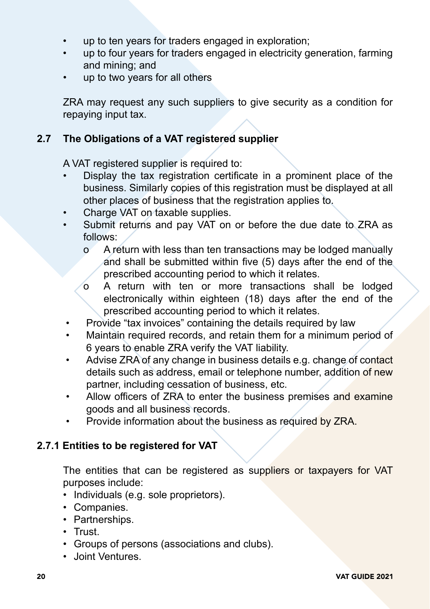- up to ten years for traders engaged in exploration;
- up to four years for traders engaged in electricity generation, farming and mining; and
- • up to two years for all others

ZRA may request any such suppliers to give security as a condition for repaying input tax.

#### **2.7 The Obligations of a VAT registered supplier**

A VAT registered supplier is required to:

- Display the tax registration certificate in a prominent place of the business. Similarly copies of this registration must be displayed at all other places of business that the registration applies to.
- Charge VAT on taxable supplies.
- • Submit returns and pay VAT on or before the due date to ZRA as follows:
	- o A return with less than ten transactions may be lodged manually and shall be submitted within five (5) days after the end of the prescribed accounting period to which it relates.
	- o A return with ten or more transactions shall be lodged electronically within eighteen (18) days after the end of the prescribed accounting period to which it relates.
- Provide "tax invoices" containing the details required by law
- Maintain required records, and retain them for a minimum period of 6 years to enable ZRA verify the VAT liability.
- Advise ZRA of any change in business details e.g. change of contact details such as address, email or telephone number, addition of new partner, including cessation of business, etc.
- Allow officers of ZRA to enter the business premises and examine goods and all business records.
- Provide information about the business as required by ZRA.

#### **2.7.1 Entities to be registered for VAT**

The entities that can be registered as suppliers or taxpayers for VAT purposes include:

- • Individuals (e.g. sole proprietors).
- • Companies.
- Partnerships.
- • Trust.
- • Groups of persons (associations and clubs).
- • Joint Ventures.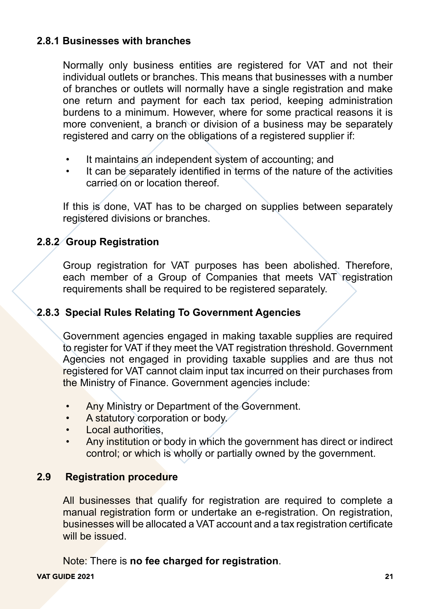# **2.8.1 Businesses with branches**

Normally only business entities are registered for VAT and not their individual outlets or branches. This means that businesses with a number of branches or outlets will normally have a single registration and make one return and payment for each tax period, keeping administration burdens to a minimum. However, where for some practical reasons it is more convenient, a branch or division of a business may be separately registered and carry on the obligations of a registered supplier if:

- It maintains an independent system of accounting; and
- It can be separately identified in terms of the nature of the activities carried on or location thereof.

If this is done, VAT has to be charged on supplies between separately registered divisions or branches.

# **2.8.2 Group Registration**

Group registration for VAT purposes has been abolished. Therefore, each member of a Group of Companies that meets VAT registration requirements shall be required to be registered separately.

# **2.8.3 Special Rules Relating To Government Agencies**

Government agencies engaged in making taxable supplies are required to register for VAT if they meet the VAT registration threshold. Government Agencies not engaged in providing taxable supplies and are thus not registered for VAT cannot claim input tax incurred on their purchases from the Ministry of Finance. Government agencies include:

- Any Ministry or Department of the Government.
- A statutory corporation or body.
- Local authorities.
- Any institution or body in which the government has direct or indirect control; or which is wholly or partially owned by the government.

# **2.9 Registration procedure**

All businesses that qualify for registration are required to complete a manual registration form or undertake an e-registration. On registration, businesses will be allocated a VAT account and a tax registration certificate will be issued.

Note: There is **no fee charged for registration**.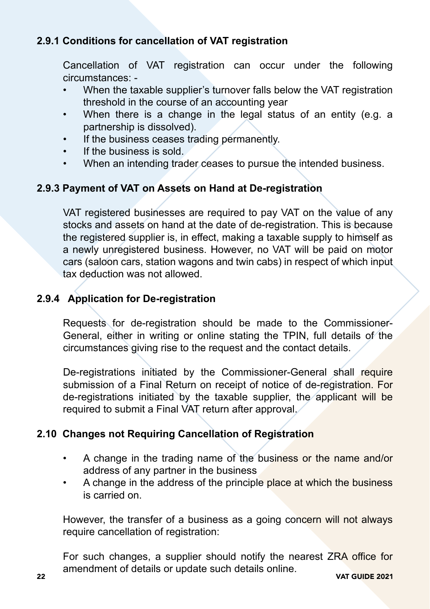# **2.9.1 Conditions for cancellation of VAT registration**

Cancellation of VAT registration can occur under the following circumstances: -

- When the taxable supplier's turnover falls below the VAT registration threshold in the course of an accounting year
- • When there is a change in the legal status of an entity (e.g. a partnership is dissolved).
- If the business ceases trading permanently.
- If the business is sold.
- When an intending trader ceases to pursue the intended business.

# **2.9.3 Payment of VAT on Assets on Hand at De-registration**

VAT registered businesses are required to pay VAT on the value of any stocks and assets on hand at the date of de-registration. This is because the registered supplier is, in effect, making a taxable supply to himself as a newly unregistered business. However, no VAT will be paid on motor cars (saloon cars, station wagons and twin cabs) in respect of which input tax deduction was not allowed.

# **2.9.4 Application for De-registration**

Requests for de-registration should be made to the Commissioner-General, either in writing or online stating the TPIN, full details of the circumstances giving rise to the request and the contact details.

De-registrations initiated by the Commissioner-General shall require submission of a Final Return on receipt of notice of de-registration. For de-registrations initiated by the taxable supplier, the applicant will be required to submit a Final VAT return after approval.

# **2.10 Changes not Requiring Cancellation of Registration**

- A change in the trading name of the business or the name and/or address of any partner in the business
- A change in the address of the principle place at which the business is carried on.

However, the transfer of a business as a going concern will not always require cancellation of registration:

For such changes, a supplier should notify the nearest ZRA office for amendment of details or update such details online.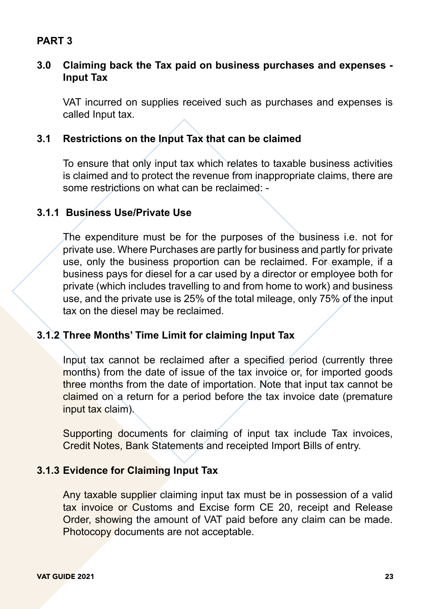## **3.0 Claiming back the Tax paid on business purchases and expenses - Input Tax**

VAT incurred on supplies received such as purchases and expenses is called Input tax.

# **3.1 Restrictions on the Input Tax that can be claimed**

To ensure that only input tax which relates to taxable business activities is claimed and to protect the revenue from inappropriate claims, there are some restrictions on what can be reclaimed: -

## **3.1.1 Business Use/Private Use**

The expenditure must be for the purposes of the business i.e. not for private use. Where Purchases are partly for business and partly for private use, only the business proportion can be reclaimed. For example, if a business pays for diesel for a car used by a director or employee both for private (which includes travelling to and from home to work) and business use, and the private use is 25% of the total mileage, only 75% of the input tax on the diesel may be reclaimed.

#### **3.1.2 Three Months' Time Limit for claiming Input Tax**

Input tax cannot be reclaimed after a specified period (currently three months) from the date of issue of the tax invoice or, for imported goods three months from the date of importation. Note that input tax cannot be claimed on a return for a period before the tax invoice date (premature input tax claim).

Supporting documents for claiming of input tax include Tax invoices, Credit Notes, Bank Statements and receipted Import Bills of entry.

# **3.1.3 Evidence for Claiming Input Tax**

Any taxable supplier claiming input tax must be in possession of a valid tax invoice or Customs and Excise form CE 20, receipt and Release Order, showing the amount of VAT paid before any claim can be made. Photocopy documents are not acceptable.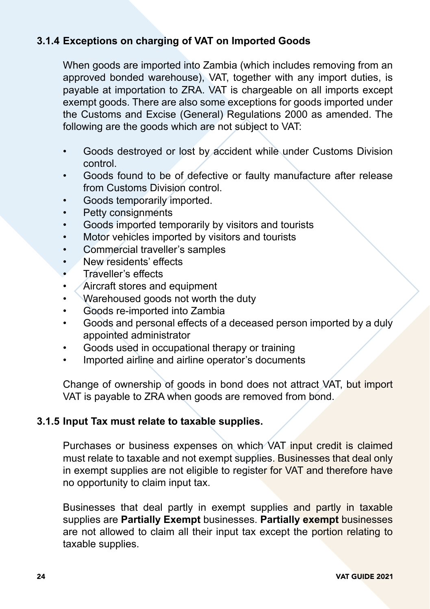# **3.1.4 Exceptions on charging of VAT on Imported Goods**

 When goods are imported into Zambia (which includes removing from an approved bonded warehouse), VAT, together with any import duties, is payable at importation to ZRA. VAT is chargeable on all imports except exempt goods. There are also some exceptions for goods imported under the Customs and Excise (General) Regulations 2000 as amended. The following are the goods which are not subject to VAT:

- • Goods destroyed or lost by accident while under Customs Division control.
- • Goods found to be of defective or faulty manufacture after release from Customs Division control.
- • Goods temporarily imported.
- Petty consignments
- • Goods imported temporarily by visitors and tourists
- • Motor vehicles imported by visitors and tourists
- • Commercial traveller's samples
- • New residents' effects
- Traveller's effects
- Aircraft stores and equipment
- Warehoused goods not worth the duty
- Goods re-imported into Zambia
- Goods and personal effects of a deceased person imported by a duly appointed administrator
- Goods used in occupational therapy or training
- Imported airline and airline operator's documents

Change of ownership of goods in bond does not attract VAT, but import VAT is payable to ZRA when goods are removed from bond.

#### **3.1.5 Input Tax must relate to taxable supplies.**

Purchases or business expenses on which VAT input credit is claimed must relate to taxable and not exempt supplies. Businesses that deal only in exempt supplies are not eligible to register for VAT and therefore have no opportunity to claim input tax.

Businesses that deal partly in exempt supplies and partly in taxable supplies are **Partially Exempt** businesses. **Partially exempt** businesses are not allowed to claim all their input tax except the portion relating to taxable supplies.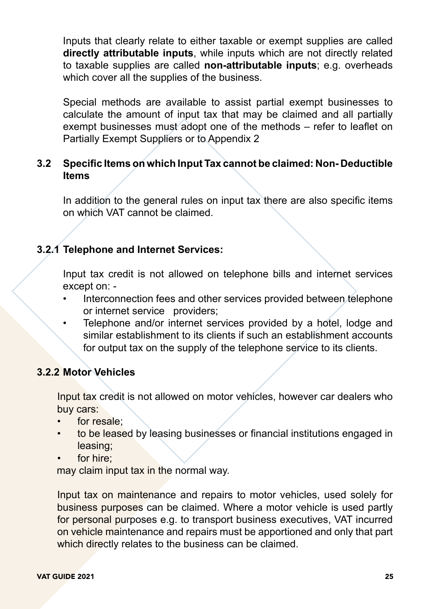Inputs that clearly relate to either taxable or exempt supplies are called **directly attributable inputs**, while inputs which are not directly related to taxable supplies are called **non-attributable inputs**; e.g. overheads which cover all the supplies of the business.

Special methods are available to assist partial exempt businesses to calculate the amount of input tax that may be claimed and all partially exempt businesses must adopt one of the methods – refer to leaflet on Partially Exempt Suppliers or to Appendix 2

## **3.2 Specific Items on which Input Tax cannot be claimed: Non- Deductible Items**

 In addition to the general rules on input tax there are also specific items on which VAT cannot be claimed.

# **3.2.1 Telephone and Internet Services:**

 Input tax credit is not allowed on telephone bills and internet services except on: -

- Interconnection fees and other services provided between telephone or internet service providers;
- Telephone and/or internet services provided by a hotel, lodge and similar establishment to its clients if such an establishment accounts for output tax on the supply of the telephone service to its clients.

#### **3.2.2 Motor Vehicles**

 Input tax credit is not allowed on motor vehicles, however car dealers who buy cars:

- for resale:
- to be leased by leasing businesses or financial institutions engaged in leasing;
- for hire:

may claim input tax in the normal way.

Input tax on maintenance and repairs to motor vehicles, used solely for business purposes can be claimed. Where a motor vehicle is used partly for personal purposes e.g. to transport business executives, VAT incurred on vehicle maintenance and repairs must be apportioned and only that part which directly relates to the business can be claimed.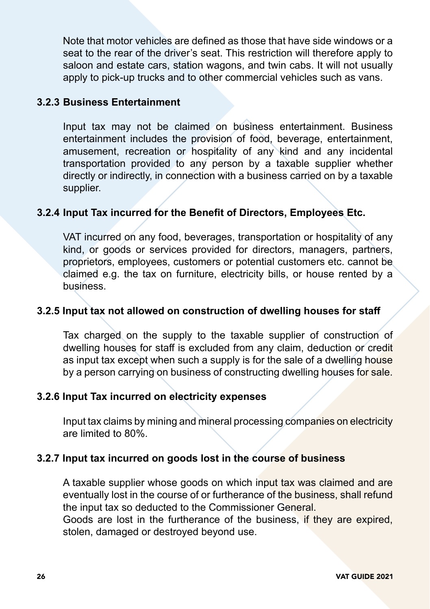Note that motor vehicles are defined as those that have side windows or a seat to the rear of the driver's seat. This restriction will therefore apply to saloon and estate cars, station wagons, and twin cabs. It will not usually apply to pick-up trucks and to other commercial vehicles such as vans.

#### **3.2.3 Business Entertainment**

 Input tax may not be claimed on business entertainment. Business entertainment includes the provision of food, beverage, entertainment, amusement, recreation or hospitality of any kind and any incidental transportation provided to any person by a taxable supplier whether directly or indirectly, in connection with a business carried on by a taxable supplier.

## **3.2.4 Input Tax incurred for the Benefit of Directors, Employees Etc.**

VAT incurred on any food, beverages, transportation or hospitality of any kind, or goods or services provided for directors, managers, partners, proprietors, employees, customers or potential customers etc. cannot be claimed e.g. the tax on furniture, electricity bills, or house rented by a business.

# **3.2.5 Input tax not allowed on construction of dwelling houses for staff**

Tax charged on the supply to the taxable supplier of construction of dwelling houses for staff is excluded from any claim, deduction or credit as input tax except when such a supply is for the sale of a dwelling house by a person carrying on business of constructing dwelling houses for sale.

#### **3.2.6 Input Tax incurred on electricity expenses**

Input tax claims by mining and mineral processing companies on electricity are limited to 80%.

## **3.2.7 Input tax incurred on goods lost in the course of business**

A taxable supplier whose goods on which input tax was claimed and are eventually lost in the course of or furtherance of the business, shall refund the input tax so deducted to the Commissioner General.

Goods are lost in the furtherance of the business, if they are expired, stolen, damaged or destroyed beyond use.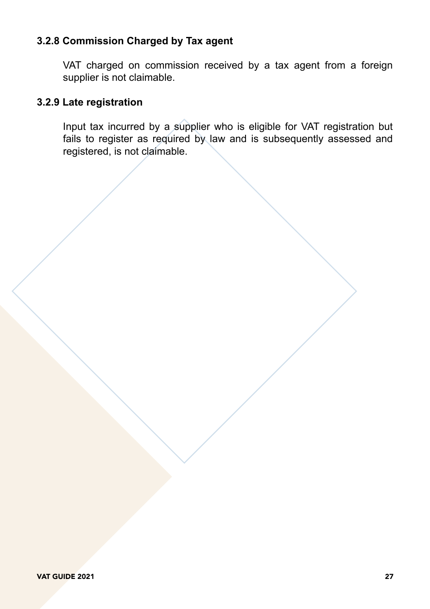# **3.2.8 Commission Charged by Tax agent**

VAT charged on commission received by a tax agent from a foreign supplier is not claimable.

#### **3.2.9 Late registration**

Input tax incurred by a supplier who is eligible for VAT registration but fails to register as required by law and is subsequently assessed and registered, is not claimable.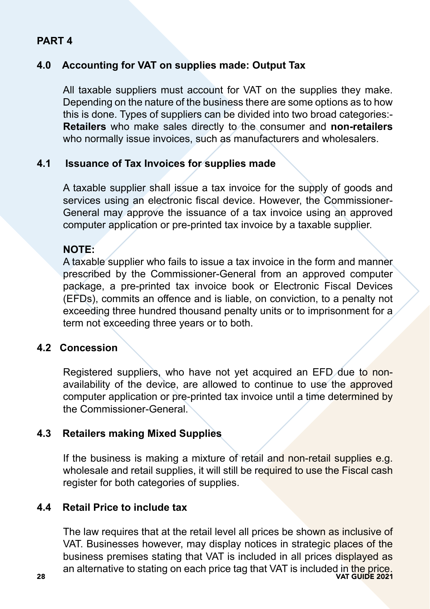### **4.0 Accounting for VAT on supplies made: Output Tax**

All taxable suppliers must account for VAT on the supplies they make. Depending on the nature of the business there are some options as to how this is done. Types of suppliers can be divided into two broad categories:- **Retailers** who make sales directly to the consumer and **non-retailers** who normally issue invoices, such as manufacturers and wholesalers.

#### **4.1 Issuance of Tax Invoices for supplies made**

A taxable supplier shall issue a tax invoice for the supply of goods and services using an electronic fiscal device. However, the Commissioner-General may approve the issuance of a tax invoice using an approved computer application or pre-printed tax invoice by a taxable supplier.

#### **NOTE:**

A taxable supplier who fails to issue a tax invoice in the form and manner prescribed by the Commissioner-General from an approved computer package, a pre-printed tax invoice book or Electronic Fiscal Devices (EFDs), commits an offence and is liable, on conviction, to a penalty not exceeding three hundred thousand penalty units or to imprisonment for a term not exceeding three years or to both.

#### **4.2 Concession**

Registered suppliers, who have not yet acquired an EFD due to nonavailability of the device, are allowed to continue to use the approved computer application or pre-printed tax invoice until a time determined by the Commissioner-General.

#### **4.3 Retailers making Mixed Supplies**

If the business is making a mixture of retail and non-retail supplies e.g. wholesale and retail supplies, it will still be required to use the Fiscal cash register for both categories of supplies.

#### **4.4 Retail Price to include tax**

28 VAT GUIDE 2021 The law requires that at the retail level all prices be shown as inclusive of VAT. Businesses however, may display notices in strategic places of the business premises stating that VAT is included in all prices displayed as an alternative to stating on each price tag that VAT is included in the price.<br>VAT GUIDE 2021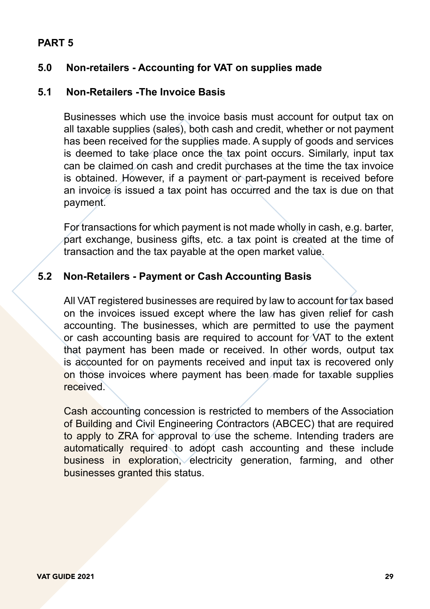#### **5.0 Non-retailers - Accounting for VAT on supplies made**

## **5.1 Non-Retailers -The Invoice Basis**

Businesses which use the invoice basis must account for output tax on all taxable supplies (sales), both cash and credit, whether or not payment has been received for the supplies made. A supply of goods and services is deemed to take place once the tax point occurs. Similarly, input tax can be claimed on cash and credit purchases at the time the tax invoice is obtained. However, if a payment or part-payment is received before an invoice is issued a tax point has occurred and the tax is due on that payment.

For transactions for which payment is not made wholly in cash, e.g. barter, part exchange, business gifts, etc. a tax point is created at the time of transaction and the tax payable at the open market value.

# **5.2 Non-Retailers - Payment or Cash Accounting Basis**

All VAT registered businesses are required by law to account for tax based on the invoices issued except where the law has given relief for cash accounting. The businesses, which are permitted to use the payment or cash accounting basis are required to account for VAT to the extent that payment has been made or received. In other words, output tax is accounted for on payments received and input tax is recovered only on those invoices where payment has been made for taxable supplies **received** 

Cash accounting concession is restricted to members of the Association of Building and Civil Engineering Contractors (ABCEC) that are required to apply to ZRA for approval to use the scheme. Intending traders are automatically required to adopt cash accounting and these include business in exploration, electricity generation, farming, and other businesses granted this status.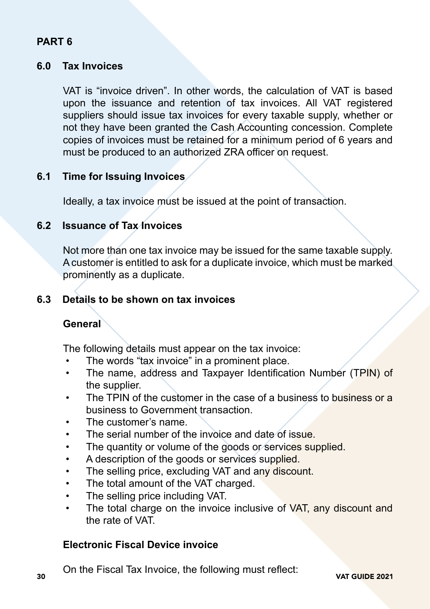#### **6.0 Tax Invoices**

VAT is "invoice driven". In other words, the calculation of VAT is based upon the issuance and retention of tax invoices. All VAT registered suppliers should issue tax invoices for every taxable supply, whether or not they have been granted the Cash Accounting concession. Complete copies of invoices must be retained for a minimum period of 6 years and must be produced to an authorized ZRA officer on request.

# **6.1 Time for Issuing Invoices**

Ideally, a tax invoice must be issued at the point of transaction.

#### **6.2 Issuance of Tax Invoices**

Not more than one tax invoice may be issued for the same taxable supply. A customer is entitled to ask for a duplicate invoice, which must be marked prominently as a duplicate.

#### **6.3 Details to be shown on tax invoices**

#### **General**

The following details must appear on the tax invoice:

- The words "tax invoice" in a prominent place.
- The name, address and Taxpayer Identification Number (TPIN) of the supplier.
- The TPIN of the customer in the case of a business to business or a business to Government transaction.
- The customer's name.
- The serial number of the invoice and date of issue.
- The quantity or volume of the goods or services supplied.
- A description of the goods or services supplied.
- The selling price, excluding VAT and any discount.
- The total amount of the VAT charged.
- The selling price including VAT.
- The total charge on the invoice inclusive of VAT, any discount and the rate of VAT.

#### **Electronic Fiscal Device invoice**

On the Fiscal Tax Invoice, the following must reflect: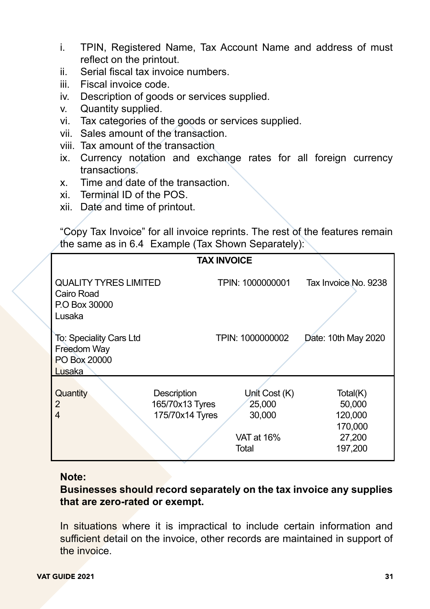- i. TPIN, Registered Name, Tax Account Name and address of must reflect on the printout.
- ii. Serial fiscal tax invoice numbers.
- iii. Fiscal invoice code.
- iv. Description of goods or services supplied.
- v. Quantity supplied.
- vi. Tax categories of the goods or services supplied.
- vii. Sales amount of the transaction.
- viii. Tax amount of the transaction
- ix. Currency notation and exchange rates for all foreign currency transactions.
- x. Time and date of the transaction.
- xi. Terminal ID of the POS.
- xii. Date and time of printout.

"Copy Tax Invoice" for all invoice reprints. The rest of the features remain the same as in 6.4 Example (Tax Shown Separately):

| <b>TAX INVOICE</b>                                                                    |                                                               |
|---------------------------------------------------------------------------------------|---------------------------------------------------------------|
| TPIN: 1000000001                                                                      | Tax Invoice No. 9238                                          |
| TPIN: 1000000002                                                                      | Date: 10th May 2020                                           |
|                                                                                       |                                                               |
|                                                                                       |                                                               |
| Unit Cost (K)<br>165/70x13 Tyres<br>25,000<br>175/70x14 Tyres<br>30,000<br>VAT at 16% | Total(K)<br>50,000<br>120,000<br>170,000<br>27,200<br>197,200 |
|                                                                                       | Total                                                         |

#### **Note:**

# **Businesses should record separately on the tax invoice any supplies that are zero-rated or exempt.**

In situations where it is impractical to include certain information and sufficient detail on the invoice, other records are maintained in support of the invoice.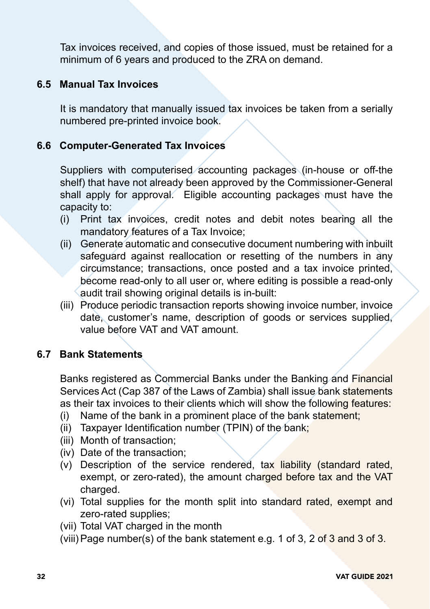Tax invoices received, and copies of those issued, must be retained for a minimum of 6 years and produced to the ZRA on demand.

#### **6.5 Manual Tax Invoices**

It is mandatory that manually issued tax invoices be taken from a serially numbered pre-printed invoice book.

#### **6.6 Computer-Generated Tax Invoices**

Suppliers with computerised accounting packages (in-house or off-the shelf) that have not already been approved by the Commissioner-General shall apply for approval. Eligible accounting packages must have the capacity to:

- (i) Print tax invoices, credit notes and debit notes bearing all the mandatory features of a Tax Invoice;
- (ii) Generate automatic and consecutive document numbering with inbuilt safeguard against reallocation or resetting of the numbers in any circumstance; transactions, once posted and a tax invoice printed, become read-only to all user or, where editing is possible a read-only audit trail showing original details is in-built:
- (iii) Produce periodic transaction reports showing invoice number, invoice date, customer's name, description of goods or services supplied, value before VAT and VAT amount.

#### **6.7 Bank Statements**

Banks registered as Commercial Banks under the Banking and Financial Services Act (Cap 387 of the Laws of Zambia) shall issue bank statements as their tax invoices to their clients which will show the following features:

- (i) Name of the bank in a prominent place of the bank statement;
- (ii) Taxpayer Identification number (TPIN) of the bank;
- (iii) Month of transaction;
- (iv) Date of the transaction;
- (v) Description of the service rendered, tax liability (standard rated, exempt, or zero-rated), the amount charged before tax and the VAT charged.
- (vi) Total supplies for the month split into standard rated, exempt and zero-rated supplies;
- (vii) Total VAT charged in the month
- (viii)Page number(s) of the bank statement e.g. 1 of 3, 2 of 3 and 3 of 3.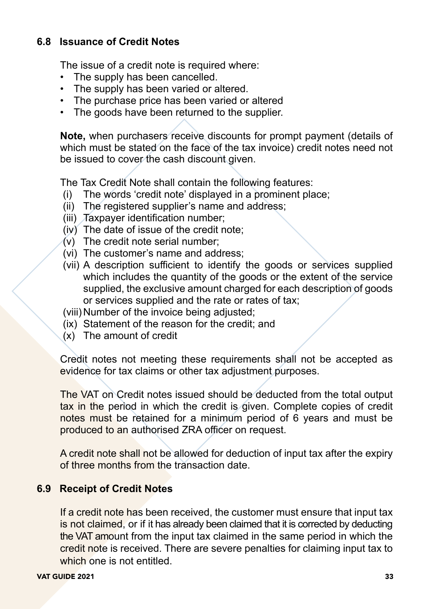# **6.8 Issuance of Credit Notes**

The issue of a credit note is required where:

- The supply has been cancelled.
- The supply has been varied or altered.
- The purchase price has been varied or altered
- The goods have been returned to the supplier.

**Note,** when purchasers receive discounts for prompt payment (details of which must be stated on the face of the tax invoice) credit notes need not be issued to cover the cash discount given.

The Tax Credit Note shall contain the following features:

- $(i)$  The words 'credit note' displayed in a prominent place;
- (ii) The registered supplier's name and address;
- (iii) Taxpayer identification number;
- (iv) The date of issue of the credit note;
- $(v)$  The credit note serial number:
- (vi) The customer's name and address;
- (vii) A description sufficient to identify the goods or services supplied which includes the quantity of the goods or the extent of the service supplied, the exclusive amount charged for each description of goods or services supplied and the rate or rates of tax;
- (viii) Number of the invoice being adjusted;
- (ix) Statement of the reason for the credit; and
- (x) The amount of credit

Credit notes not meeting these requirements shall not be accepted as evidence for tax claims or other tax adjustment purposes.

The VAT on Credit notes issued should be deducted from the total output tax in the period in which the credit is given. Complete copies of credit notes must be retained for a minimum period of 6 years and must be produced to an authorised ZRA officer on request.

A credit note shall not be allowed for deduction of input tax after the expiry of three months from the transaction date.

#### **6.9 Receipt of Credit Notes**

If a credit note has been received, the customer must ensure that input tax is not claimed, or if it has already been claimed that it is corrected by deducting the VAT amount from the input tax claimed in the same period in which the credit note is received. There are severe penalties for claiming input tax to which one is not entitled.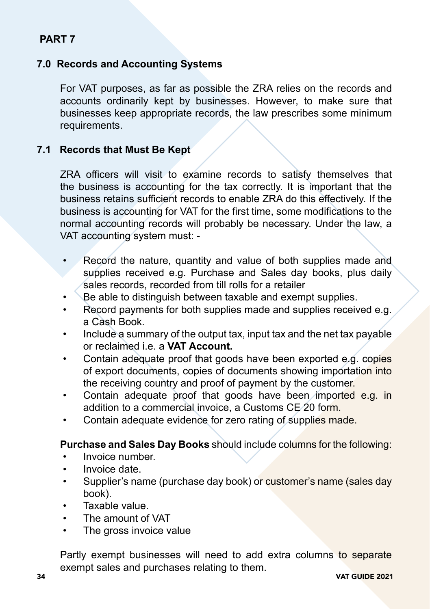# **7.0 Records and Accounting Systems**

For VAT purposes, as far as possible the ZRA relies on the records and accounts ordinarily kept by businesses. However, to make sure that businesses keep appropriate records, the law prescribes some minimum requirements.

## **7.1 Records that Must Be Kept**

ZRA officers will visit to examine records to satisfy themselves that the business is accounting for the tax correctly. It is important that the business retains sufficient records to enable ZRA do this effectively. If the business is accounting for VAT for the first time, some modifications to the normal accounting records will probably be necessary. Under the law, a VAT accounting system must: -

- Record the nature, quantity and value of both supplies made and supplies received e.g. Purchase and Sales day books, plus daily sales records, recorded from till rolls for a retailer
- Be able to distinguish between taxable and exempt supplies.
- Record payments for both supplies made and supplies received e.g. a Cash Book.
- Include a summary of the output tax, input tax and the net tax payable or reclaimed i.e. a **VAT Account.**
- Contain adequate proof that goods have been exported e.g. copies of export documents, copies of documents showing importation into the receiving country and proof of payment by the customer.
- Contain adequate proof that goods have been imported e.g. in addition to a commercial invoice, a Customs CE 20 form.
- Contain adequate evidence for zero rating of supplies made.

**Purchase and Sales Day Books** should include columns for the following:

- Invoice number
- Invoice date
- Supplier's name (purchase day book) or customer's name (sales day book).
- • Taxable value.
- The amount of VAT
- The gross invoice value

Partly exempt businesses will need to add extra columns to separate exempt sales and purchases relating to them.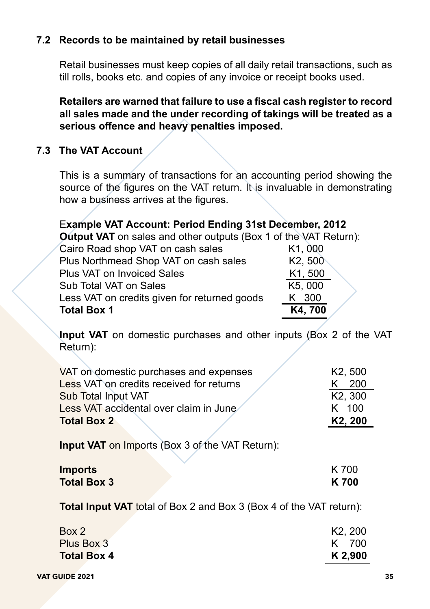# **7.2 Records to be maintained by retail businesses**

Retail businesses must keep copies of all daily retail transactions, such as till rolls, books etc. and copies of any invoice or receipt books used.

**Retailers are warned that failure to use a fiscal cash register to record all sales made and the under recording of takings will be treated as a serious offence and heavy penalties imposed.**

# **7.3 The VAT Account**

This is a summary of transactions for an accounting period showing the source of the figures on the VAT return. It is invaluable in demonstrating how a business arrives at the figures.

| <b>Example VAT Account: Period Ending 31st December, 2012</b>           |         |  |  |
|-------------------------------------------------------------------------|---------|--|--|
| <b>Output VAT</b> on sales and other outputs (Box 1 of the VAT Return): |         |  |  |
| Cairo Road shop VAT on cash sales                                       | K1,000  |  |  |
| Plus Northmead Shop VAT on cash sales                                   | K2, 500 |  |  |
| Plus VAT on Invoiced Sales                                              | K1, 500 |  |  |
| Sub Total VAT on Sales                                                  | K5,000  |  |  |
| Less VAT on credits given for returned goods                            | K 300   |  |  |
| <b>Total Box 1</b>                                                      | K4, 700 |  |  |

**Input VAT** on domestic purchases and other inputs (Box 2 of the VAT Return):

| VAT on domestic purchases and expenses          | K <sub>2</sub> .500  |
|-------------------------------------------------|----------------------|
| <b>Less VAT on credits received for returns</b> | $K$ 200              |
| Sub Total Input VAT                             | K <sub>2</sub> , 300 |
| Less VAT accidental over claim in June          | $K$ 100              |
| <b>Total Box 2</b>                              | K <sub>2</sub> , 200 |

**Input VAT** on Imports (Box 3 of the VAT Return):

| <b>Imports</b>     | K 700 |
|--------------------|-------|
| <b>Total Box 3</b> | K 700 |

**Total Input VAT** total of Box 2 and Box 3 (Box 4 of the VAT return):

| <b>Total Box 4</b> | K 2,900              |
|--------------------|----------------------|
| Plus Box 3         | K 700                |
| Box 2              | K <sub>2</sub> , 200 |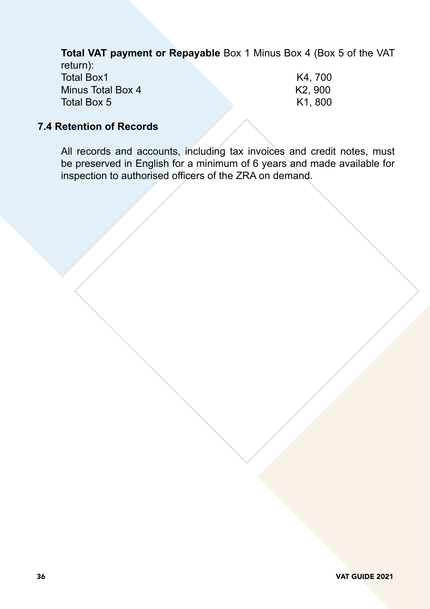**Total VAT payment or Repayable** Box 1 Minus Box 4 (Box 5 of the VAT return): Total Box1 K4, 700<br>Minus Total Box 4 K2, 900 Minus Total Box 4 K2, 900<br>Total Box 5 K1, 800 Total Box 5

#### **7.4 Retention of Records**

All records and accounts, including tax invoices and credit notes, must be preserved in English for a minimum of 6 years and made available for inspection to authorised officers of the ZRA on demand.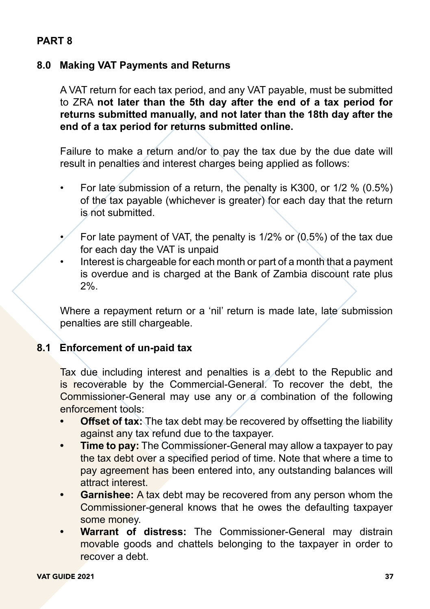### **8.0 Making VAT Payments and Returns**

A VAT return for each tax period, and any VAT payable, must be submitted to ZRA **not later than the 5th day after the end of a tax period for returns submitted manually, and not later than the 18th day after the end of a tax period for returns submitted online.**

Failure to make a return and/or to pay the tax due by the due date will result in penalties and interest charges being applied as follows:

- For late submission of a return, the penalty is K300, or 1/2 % (0.5%) of the tax payable (whichever is greater) for each day that the return is not submitted.
	- For late payment of VAT, the penalty is  $1/2\%$  or  $(0.5\%)$  of the tax due for each day the VAT is unpaid
- Interest is chargeable for each month or part of a month that a payment is overdue and is charged at the Bank of Zambia discount rate plus 2%.

Where a repayment return or a 'nil' return is made late, late submission penalties are still chargeable.

#### **8.1 Enforcement of un-paid tax**

Tax due including interest and penalties is a debt to the Republic and is recoverable by the Commercial-General. To recover the debt, the Commissioner-General may use any or a combination of the following enforcement tools:

- **Offset of tax:** The tax debt may be recovered by offsetting the liability against any tax refund due to the taxpayer.
- **• Time to pay:** The Commissioner-General may allow a taxpayer to pay the tax debt over a specified period of time. Note that where a time to pay agreement has been entered into, any outstanding balances will attract interest.
- **Garnishee:** A tax debt may be recovered from any person whom the Commissioner-general knows that he owes the defaulting taxpayer some money.
- **• Warrant of distress:** The Commissioner-General may distrain movable goods and chattels belonging to the taxpayer in order to recover a debt.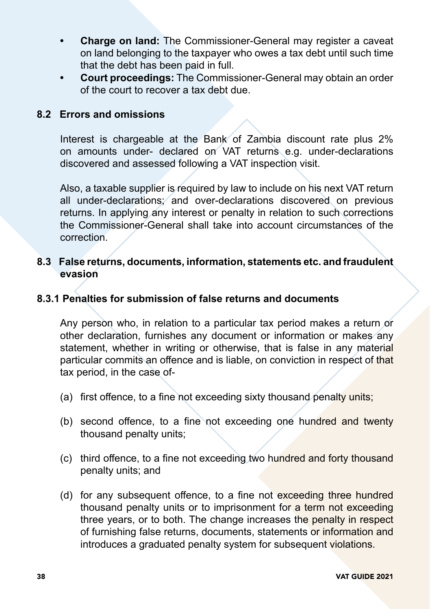- **• Charge on land:** The Commissioner-General may register a caveat on land belonging to the taxpayer who owes a tax debt until such time that the debt has been paid in full.
- **• Court proceedings:** The Commissioner-General may obtain an order of the court to recover a tax debt due.

#### **8.2 Errors and omissions**

Interest is chargeable at the Bank of Zambia discount rate plus 2% on amounts under- declared on VAT returns e.g. under-declarations discovered and assessed following a VAT inspection visit.

Also, a taxable supplier is required by law to include on his next VAT return all under-declarations; and over-declarations discovered on previous returns. In applying any interest or penalty in relation to such corrections the Commissioner-General shall take into account circumstances of the correction.

**8.3 False returns, documents, information, statements etc. and fraudulent evasion** 

# **8.3.1 Penalties for submission of false returns and documents**

Any person who, in relation to a particular tax period makes a return or other declaration, furnishes any document or information or makes any statement, whether in writing or otherwise, that is false in any material particular commits an offence and is liable, on conviction in respect of that tax period, in the case of-

- (a) first offence, to a fine not exceeding sixty thousand penalty units;
- (b) second offence, to a fine not exceeding one hundred and twenty thousand penalty units;
- (c) third offence, to a fine not exceeding two hundred and forty thousand penalty units; and
- (d) for any subsequent offence, to a fine not exceeding three hundred thousand penalty units or to imprisonment for a term not exceeding three years, or to both. The change increases the penalty in respect of furnishing false returns, documents, statements or information and introduces a graduated penalty system for subsequent violations.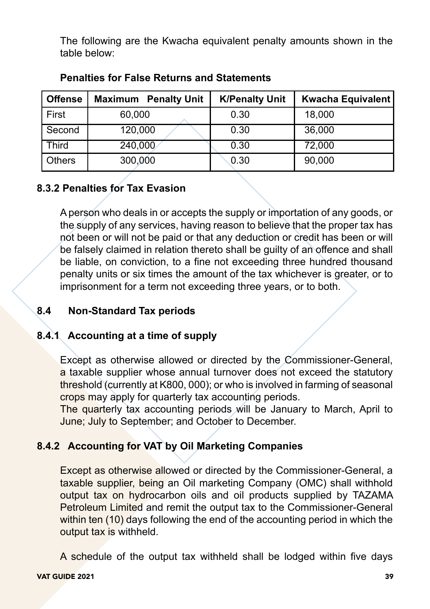The following are the Kwacha equivalent penalty amounts shown in the table below:

| <b>Offense</b> | <b>Penalty Unit</b><br><b>Maximum</b> | <b>K/Penalty Unit</b> | <b>Kwacha Equivalent</b> |
|----------------|---------------------------------------|-----------------------|--------------------------|
| First          | 60,000                                | 0.30                  | 18,000                   |
| Second         | 120,000                               | 0.30                  | 36,000                   |
| <b>Third</b>   | 240,000                               | 0.30                  | 72.000                   |
| <b>Others</b>  | 300,000                               | 0.30                  | 90,000                   |

## **Penalties for False Returns and Statements**

# **8.3.2 Penalties for Tax Evasion**

A person who deals in or accepts the supply or importation of any goods, or the supply of any services, having reason to believe that the proper tax has not been or will not be paid or that any deduction or credit has been or will be falsely claimed in relation thereto shall be guilty of an offence and shall be liable, on conviction, to a fine not exceeding three hundred thousand penalty units or six times the amount of the tax whichever is greater, or to imprisonment for a term not exceeding three years, or to both.

# **8.4 Non-Standard Tax periods**

# **8.4.1 Accounting at a time of supply**

Except as otherwise allowed or directed by the Commissioner-General, a taxable supplier whose annual turnover does not exceed the statutory threshold (currently at K800, 000); or who is involved in farming of seasonal crops may apply for quarterly tax accounting periods.

The quarterly tax accounting periods will be January to March, April to June; July to September; and October to December.

# **8.4.2 Accounting for VAT by Oil Marketing Companies**

Except as otherwise allowed or directed by the Commissioner-General, a taxable supplier, being an Oil marketing Company (OMC) shall withhold output tax on hydrocarbon oils and oil products supplied by TAZAMA Petroleum Limited and remit the output tax to the Commissioner-General within ten (10) days following the end of the accounting period in which the output tax is withheld.

A schedule of the output tax withheld shall be lodged within five days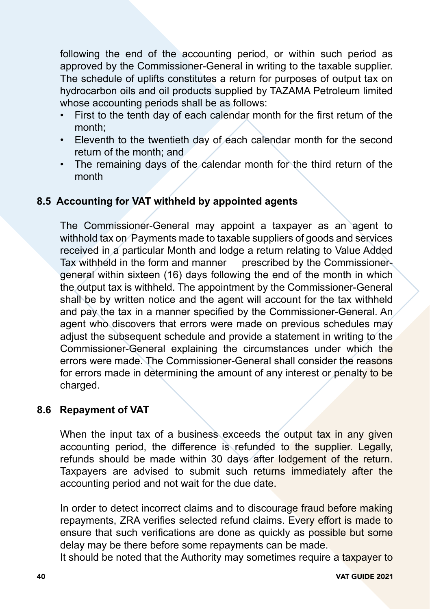following the end of the accounting period, or within such period as approved by the Commissioner-General in writing to the taxable supplier. The schedule of uplifts constitutes a return for purposes of output tax on hydrocarbon oils and oil products supplied by TAZAMA Petroleum limited whose accounting periods shall be as follows:

- First to the tenth day of each calendar month for the first return of the month;
- Eleventh to the twentieth day of each calendar month for the second return of the month; and
- The remaining days of the calendar month for the third return of the month

# **8.5 Accounting for VAT withheld by appointed agents**

The Commissioner-General may appoint a taxpayer as an agent to withhold tax on Payments made to taxable suppliers of goods and services received in a particular Month and lodge a return relating to Value Added<br>Tax withheld in the form and manner prescribed by the Commissioner-Tax withheld in the form and manner general within sixteen (16) days following the end of the month in which the output tax is withheld. The appointment by the Commissioner-General shall be by written notice and the agent will account for the tax withheld and pay the tax in a manner specified by the Commissioner-General. An agent who discovers that errors were made on previous schedules may adjust the subsequent schedule and provide a statement in writing to the Commissioner-General explaining the circumstances under which the errors were made. The Commissioner-General shall consider the reasons for errors made in determining the amount of any interest or penalty to be charged.

#### **8.6 Repayment of VAT**

When the input tax of a business exceeds the output tax in any given accounting period, the difference is refunded to the supplier. Legally, refunds should be made within 30 days after lodgement of the return. Taxpayers are advised to submit such returns immediately after the accounting period and not wait for the due date.

In order to detect incorrect claims and to discourage fraud before making repayments, ZRA verifies selected refund claims. Every effort is made to ensure that such verifications are done as quickly as possible but some delay may be there before some repayments can be made.

It should be noted that the Authority may sometimes require a taxpayer to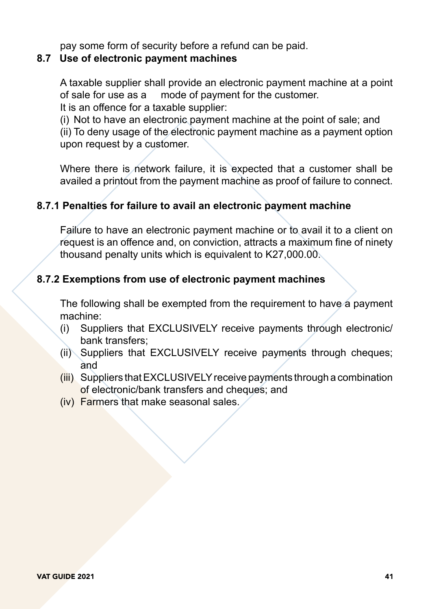pay some form of security before a refund can be paid.

#### **8.7 Use of electronic payment machines**

A taxable supplier shall provide an electronic payment machine at a point of sale for use as a mode of payment for the customer. It is an offence for a taxable supplier:

(i) Not to have an electronic payment machine at the point of sale; and (ii) To deny usage of the electronic payment machine as a payment option upon request by a customer.

Where there is network failure, it is expected that a customer shall be availed a printout from the payment machine as proof of failure to connect.

## **8.7.1 Penalties for failure to avail an electronic payment machine**

Failure to have an electronic payment machine or to avail it to a client on request is an offence and, on conviction, attracts a maximum fine of ninety thousand penalty units which is equivalent to K27,000.00.

#### **8.7.2 Exemptions from use of electronic payment machines**

The following shall be exempted from the requirement to have a payment machine:

- (i) Suppliers that EXCLUSIVELY receive payments through electronic/ bank transfers;
- (ii) Suppliers that EXCLUSIVELY receive payments through cheques; and
- (iii) Suppliers that EXCLUSIVELY receive payments through a combination of electronic/bank transfers and cheques; and
- (iv) Farmers that make seasonal sales.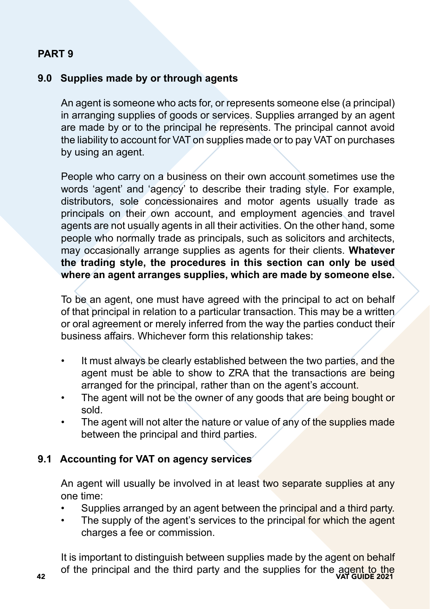# **9.0 Supplies made by or through agents**

An agent is someone who acts for, or represents someone else (a principal) in arranging supplies of goods or services. Supplies arranged by an agent are made by or to the principal he represents. The principal cannot avoid the liability to account for VAT on supplies made or to pay VAT on purchases by using an agent.

People who carry on a business on their own account sometimes use the words 'agent' and 'agency' to describe their trading style. For example, distributors, sole concessionaires and motor agents usually trade as principals on their own account, and employment agencies and travel agents are not usually agents in all their activities. On the other hand, some people who normally trade as principals, such as solicitors and architects, may occasionally arrange supplies as agents for their clients. **Whatever the trading style, the procedures in this section can only be used where an agent arranges supplies, which are made by someone else.**

To be an agent, one must have agreed with the principal to act on behalf of that principal in relation to a particular transaction. This may be a written or oral agreement or merely inferred from the way the parties conduct their business affairs. Whichever form this relationship takes:

- It must always be clearly established between the two parties, and the agent must be able to show to ZRA that the transactions are being arranged for the principal, rather than on the agent's account.
- The agent will not be the owner of any goods that are being bought or sold.
- The agent will not alter the nature or value of any of the supplies made between the principal and third parties.

#### **9.1 Accounting for VAT on agency services**

An agent will usually be involved in at least two separate supplies at any one time:

- Supplies arranged by an agent between the principal and a third party.
- The supply of the agent's services to the principal for which the agent charges a fee or commission.

of the principal and the third party and the supplies for the agent to the<br>var guipe 2021 It is important to distinguish between supplies made by the agent on behalf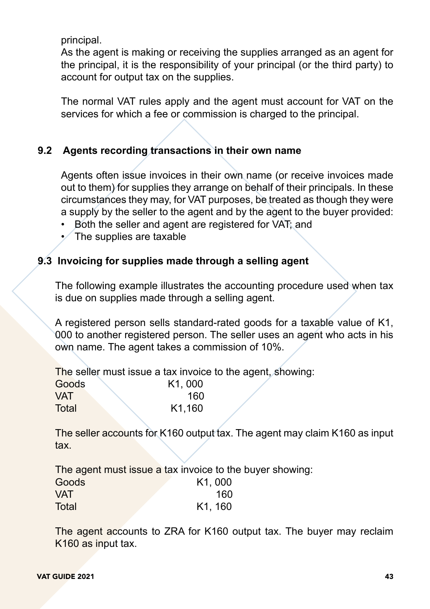principal.

As the agent is making or receiving the supplies arranged as an agent for the principal, it is the responsibility of your principal (or the third party) to account for output tax on the supplies.

The normal VAT rules apply and the agent must account for VAT on the services for which a fee or commission is charged to the principal.

# **9.2 Agents recording transactions in their own name**

Agents often issue invoices in their own name (or receive invoices made out to them) for supplies they arrange on behalf of their principals. In these circumstances they may, for VAT purposes, be treated as though they were a supply by the seller to the agent and by the agent to the buyer provided:

- Both the seller and agent are registered for VAT; and
- $\cdot$  The supplies are taxable

# **9.3 Invoicing for supplies made through a selling agent**

 The following example illustrates the accounting procedure used when tax is due on supplies made through a selling agent.

A registered person sells standard-rated goods for a taxable value of K1, 000 to another registered person. The seller uses an agent who acts in his own name. The agent takes a commission of 10%.

The seller must issue a tax invoice to the agent, showing:

| Goods | K <sub>1</sub> , 000 |
|-------|----------------------|
| VAT   | 160                  |
| Total | K <sub>1</sub> ,160  |

The seller accounts for K160 output tax. The agent may claim K160 as input tax.

|       | The agent must issue a tax invoice to the buyer showing: |
|-------|----------------------------------------------------------|
| Goods | K <sub>1</sub> .000                                      |
| VAT   | 160                                                      |
| Total | K <sub>1</sub> .160                                      |

The agent accounts to ZRA for K160 output tax. The buyer may reclaim K160 as input tax.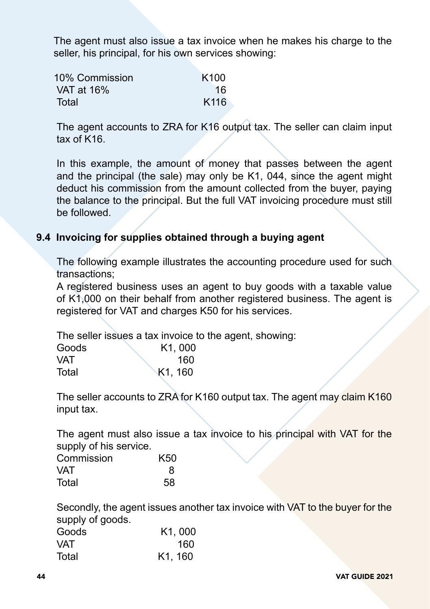The agent must also issue a tax invoice when he makes his charge to the seller, his principal, for his own services showing:

| 10% Commission | K <sub>100</sub> |
|----------------|------------------|
| VAT at 16%     | 16               |
| Total          | K <sub>116</sub> |

The agent accounts to ZRA for K16 output tax. The seller can claim input tax of K16.

In this example, the amount of money that passes between the agent and the principal (the sale) may only be K1, 044, since the agent might deduct his commission from the amount collected from the buyer, paying the balance to the principal. But the full VAT invoicing procedure must still be followed.

#### **9.4 Invoicing for supplies obtained through a buying agent**

The following example illustrates the accounting procedure used for such transactions;

A registered business uses an agent to buy goods with a taxable value of K1,000 on their behalf from another registered business. The agent is registered for VAT and charges K50 for his services.

The seller issues a tax invoice to the agent, showing:

| Goods | K <sub>1</sub> , 000 |
|-------|----------------------|
| VAT   | 160                  |
| Total | K1, 160              |

The seller accounts to ZRA for K160 output tax. The agent may claim K160 input tax.

The agent must also issue a tax invoice to his principal with VAT for the supply of his service.

| Commission | K50 |
|------------|-----|
| <b>VAT</b> | 8   |
| Total      | 58  |

Secondly, the agent issues another tax invoice with VAT to the buyer for the supply of goods.

| Goods      | K <sub>1</sub> , 000 |
|------------|----------------------|
| <b>VAT</b> | 160                  |
| Total      | K <sub>1</sub> , 160 |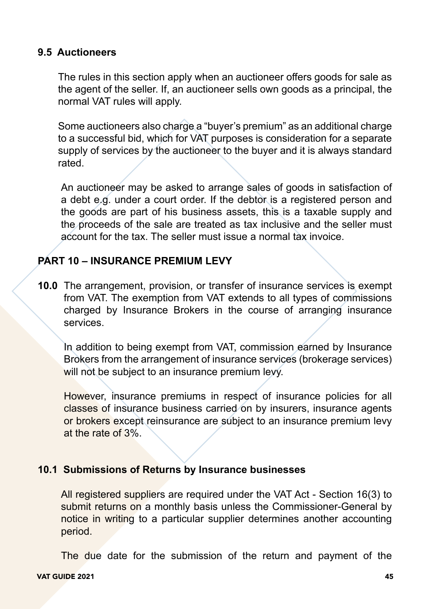#### **9.5 Auctioneers**

The rules in this section apply when an auctioneer offers goods for sale as the agent of the seller. If, an auctioneer sells own goods as a principal, the normal VAT rules will apply.

Some auctioneers also charge a "buyer's premium" as an additional charge to a successful bid, which for VAT purposes is consideration for a separate supply of services by the auctioneer to the buyer and it is always standard rated.

An auctioneer may be asked to arrange sales of goods in satisfaction of a debt e.g. under a court order. If the debtor is a registered person and the goods are part of his business assets, this is a taxable supply and the proceeds of the sale are treated as tax inclusive and the seller must account for the tax. The seller must issue a normal tax invoice.

## **PART 10 – INSURANCE PREMIUM LEVY**

**10.0** The arrangement, provision, or transfer of insurance services is exempt from VAT. The exemption from VAT extends to all types of commissions charged by Insurance Brokers in the course of arranging insurance services.

In addition to being exempt from VAT, commission earned by Insurance Brokers from the arrangement of insurance services (brokerage services) will not be subject to an insurance premium levy.

However, insurance premiums in respect of insurance policies for all classes of insurance business carried on by insurers, insurance agents or brokers except reinsurance are subject to an insurance premium levy at the rate of 3%.

#### **10.1 Submissions of Returns by Insurance businesses**

All registered suppliers are required under the VAT Act - Section 16(3) to submit returns on a monthly basis unless the Commissioner-General by notice in writing to a particular supplier determines another accounting period.

The due date for the submission of the return and payment of the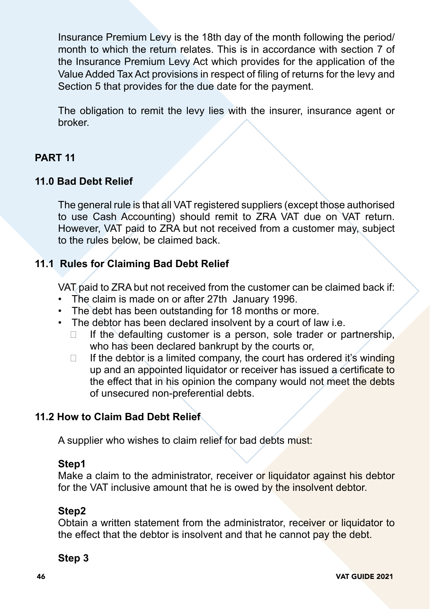Insurance Premium Levy is the 18th day of the month following the period/ month to which the return relates. This is in accordance with section 7 of the Insurance Premium Levy Act which provides for the application of the Value Added Tax Act provisions in respect of filing of returns for the levy and Section 5 that provides for the due date for the payment.

The obligation to remit the levy lies with the insurer, insurance agent or broker.

# **PART 11**

## **11.0 Bad Debt Relief**

The general rule is that all VAT registered suppliers (except those authorised to use Cash Accounting) should remit to ZRA VAT due on VAT return. However, VAT paid to ZRA but not received from a customer may, subject to the rules below, be claimed back.

# **11.1 Rules for Claiming Bad Debt Relief**

VAT paid to ZRA but not received from the customer can be claimed back if:

- The claim is made on or after 27th January 1996.
- The debt has been outstanding for 18 months or more.
- The debtor has been declared insolvent by a court of law i.e.
	- $\Box$  If the defaulting customer is a person, sole trader or partnership, who has been declared bankrupt by the courts or,
	- $\Box$  If the debtor is a limited company, the court has ordered it's winding up and an appointed liquidator or receiver has issued a certificate to the effect that in his opinion the company would not meet the debts of unsecured non-preferential debts.

# **11.2 How to Claim Bad Debt Relief**

A supplier who wishes to claim relief for bad debts must:

#### **Step1**

Make a claim to the administrator, receiver or liquidator against his debtor for the VAT inclusive amount that he is owed by the insolvent debtor.

#### **Step2**

Obtain a written statement from the administrator, receiver or liquidator to the effect that the debtor is insolvent and that he cannot pay the debt.

#### **Step 3**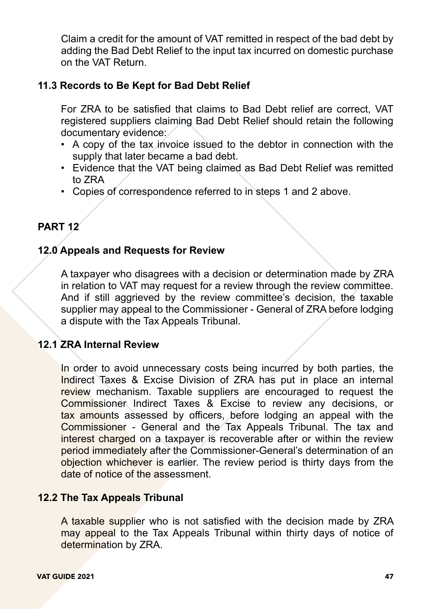Claim a credit for the amount of VAT remitted in respect of the bad debt by adding the Bad Debt Relief to the input tax incurred on domestic purchase on the VAT Return.

## **11.3 Records to Be Kept for Bad Debt Relief**

For ZRA to be satisfied that claims to Bad Debt relief are correct, VAT registered suppliers claiming Bad Debt Relief should retain the following documentary evidence:

- • A copy of the tax invoice issued to the debtor in connection with the supply that later became a bad debt.
- Evidence that the VAT being claimed as Bad Debt Relief was remitted to ZRA
- Copies of correspondence referred to in steps 1 and 2 above.

# **PART 12**

## **12.0 Appeals and Requests for Review**

A taxpayer who disagrees with a decision or determination made by ZRA in relation to VAT may request for a review through the review committee. And if still aggrieved by the review committee's decision, the taxable supplier may appeal to the Commissioner - General of ZRA before lodging a dispute with the Tax Appeals Tribunal.

#### **12.1 ZRA Internal Review**

In order to avoid unnecessary costs being incurred by both parties, the Indirect Taxes & Excise Division of ZRA has put in place an internal review mechanism. Taxable suppliers are encouraged to request the Commissioner Indirect Taxes & Excise to review any decisions, or tax amounts assessed by officers, before lodging an appeal with the Commissioner - General and the Tax Appeals Tribunal. The tax and interest charged on a taxpayer is recoverable after or within the review period immediately after the Commissioner-General's determination of an objection whichever is earlier. The review period is thirty days from the date of notice of the assessment.

#### **12.2 The Tax Appeals Tribunal**

A taxable supplier who is not satisfied with the decision made by ZRA may appeal to the Tax Appeals Tribunal within thirty days of notice of determination by ZRA.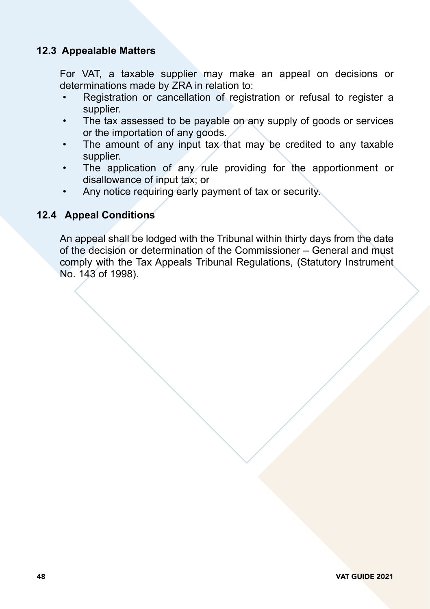#### **12.3 Appealable Matters**

For VAT, a taxable supplier may make an appeal on decisions or determinations made by ZRA in relation to:

- Registration or cancellation of registration or refusal to register a supplier.
- The tax assessed to be payable on any supply of goods or services or the importation of any goods.
- The amount of any input tax that may be credited to any taxable supplier.
- The application of any rule providing for the apportionment or disallowance of input tax; or
- Any notice requiring early payment of tax or security.

# **12.4 Appeal Conditions**

An appeal shall be lodged with the Tribunal within thirty days from the date of the decision or determination of the Commissioner – General and must comply with the Tax Appeals Tribunal Regulations, (Statutory Instrument No. 143 of 1998).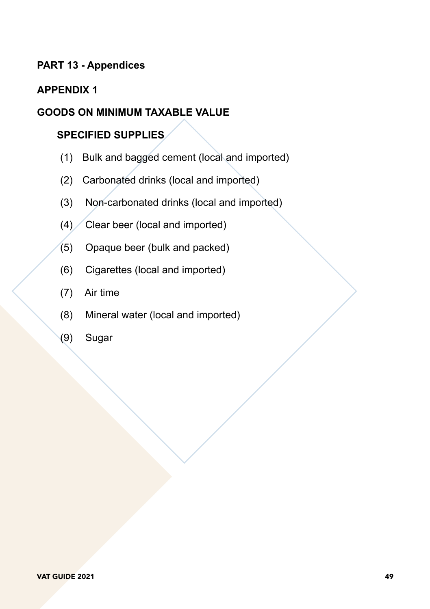# **PART 13 - Appendices**

#### **APPENDIX 1**

# **GOODS ON MINIMUM TAXABLE VALUE**

#### **SPECIFIED SUPPLIES**

- (1) Bulk and bagged cement (local and imported)
- (2) Carbonated drinks (local and imported)
- (3) Non-carbonated drinks (local and imported)
- (4) Clear beer (local and imported)
- (5) Opaque beer (bulk and packed)
- (6) Cigarettes (local and imported)
- (7) Air time
- (8) Mineral water (local and imported)
- (9) Sugar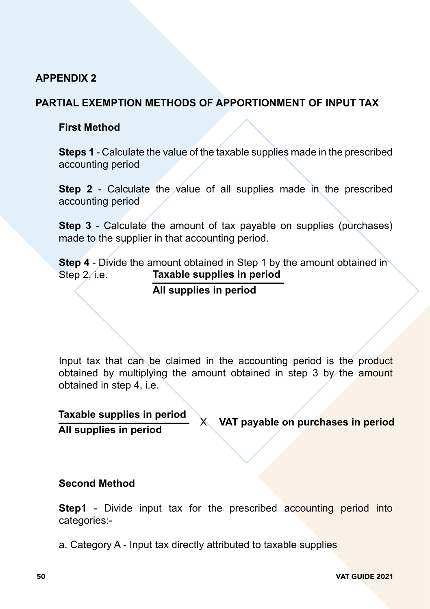## **APPENDIX 2**

## **PARTIAL EXEMPTION METHODS OF APPORTIONMENT OF INPUT TAX**

#### **First Method**

**Steps 1** - Calculate the value of the taxable supplies made in the prescribed accounting period

**Step 2** - Calculate the value of all supplies made in the prescribed accounting period

**Step 3** - Calculate the amount of tax payable on supplies (purchases) made to the supplier in that accounting period.

**Step 4** - Divide the amount obtained in Step 1 by the amount obtained in Step  $2$ , i.e. **Taxable supplies in period**

# **All supplies in period**

Input tax that can be claimed in the accounting period is the product obtained by multiplying the amount obtained in step 3 by the amount obtained in step 4, i.e.

 **Taxable supplies in period** All supplies in period X

**All supplies in period VAT payable on purchases in period**

#### **Second Method**

**Step1** - Divide input tax for the prescribed accounting period into categories:-

a. Category A - Input tax directly attributed to taxable supplies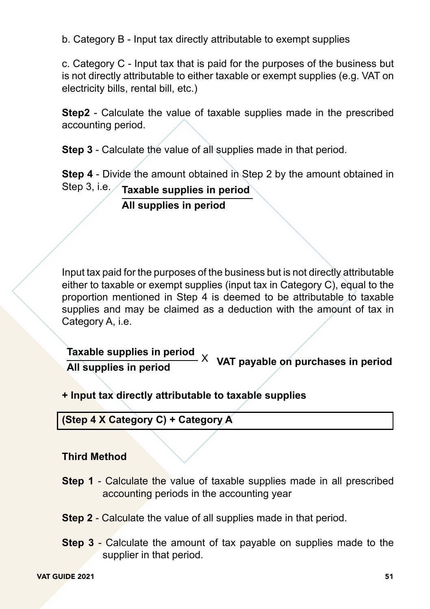b. Category B - Input tax directly attributable to exempt supplies

c. Category C - Input tax that is paid for the purposes of the business but is not directly attributable to either taxable or exempt supplies (e.g. VAT on electricity bills, rental bill, etc.)

**Step2** - Calculate the value of taxable supplies made in the prescribed accounting period.

**Step 3** - Calculate the value of all supplies made in that period.

**Step 4** - Divide the amount obtained in Step 2 by the amount obtained in Step 3, i.e. **Taxable supplies in period**

**All supplies in period**

Input tax paid for the purposes of the business but is not directly attributable either to taxable or exempt supplies (input tax in Category C), equal to the proportion mentioned in Step 4 is deemed to be attributable to taxable supplies and may be claimed as a deduction with the amount of tax in Category A, i.e.

 $\frac{1}{\text{All supplies in period}} \times$ **Taxable supplies in period All supplies in period VAT payable on purchases in period**

**+ Input tax directly attributable to taxable supplies**

# **(Step 4 X Category C) + Category A**

#### **Third Method**

- **Step 1** Calculate the value of taxable supplies made in all prescribed accounting periods in the accounting year
- **Step 2**  Calculate the value of all supplies made in that period.
- **Step 3** Calculate the amount of tax payable on supplies made to the supplier in that period.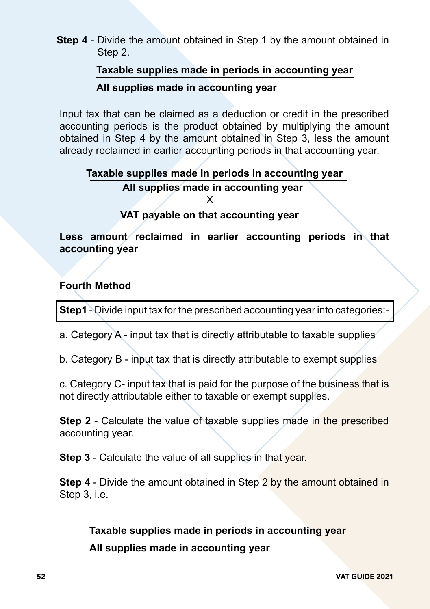**Step 4** - Divide the amount obtained in Step 1 by the amount obtained in Step 2.

# **Taxable supplies made in periods in accounting year All supplies made in accounting year**

Input tax that can be claimed as a deduction or credit in the prescribed accounting periods is the product obtained by multiplying the amount obtained in Step 4 by the amount obtained in Step 3, less the amount already reclaimed in earlier accounting periods in that accounting year.

# <u>X</u> **Taxable supplies made in periods in accounting year All supplies made in accounting year**

# **VAT payable on that accounting year**

**Less amount reclaimed in earlier accounting periods in that accounting year**

# **Fourth Method**

**Step1** - Divide input tax for the prescribed accounting year into categories:-

a. Category A - input tax that is directly attributable to taxable supplies

b. Category B - input tax that is directly attributable to exempt supplies

c. Category C- input tax that is paid for the purpose of the business that is not directly attributable either to taxable or exempt supplies.

**Step 2** - Calculate the value of taxable supplies made in the prescribed accounting year.

**Step 3** - Calculate the value of all supplies in that year.

**Step 4** - Divide the amount obtained in Step 2 by the amount obtained in Step 3, i.e.

# **Taxable supplies made in periods in accounting year**

**All supplies made in accounting year**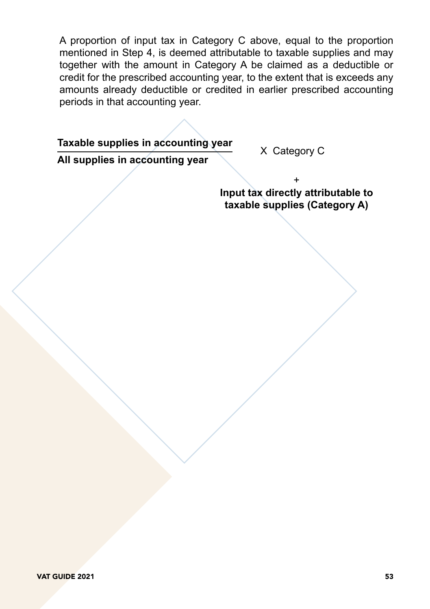A proportion of input tax in Category C above, equal to the proportion mentioned in Step 4, is deemed attributable to taxable supplies and may together with the amount in Category A be claimed as a deductible or credit for the prescribed accounting year, to the extent that is exceeds any amounts already deductible or credited in earlier prescribed accounting periods in that accounting year.

# **Taxable supplies in accounting year** X Category C

**All supplies in accounting year**

+ **Input tax directly attributable to taxable supplies (Category A)**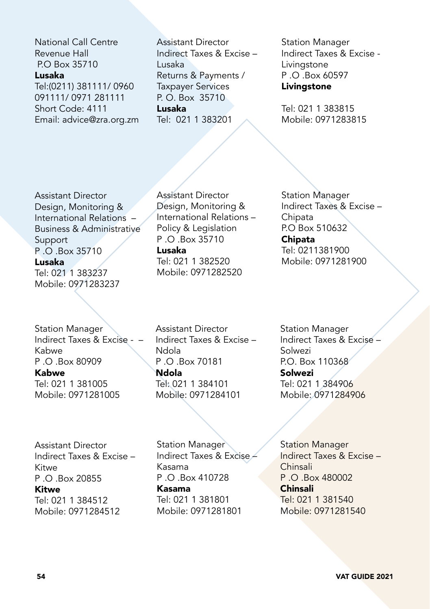National Call Centre Revenue Hall P.O Box 35710 Lusaka Tel:(0211) 381111/ 0960 091111/ 0971 281111 Short Code: 4111 Email: advice@zra.org.zm

Assistant Director Indirect Taxes & Excise – Lusaka Returns & Payments / Taxpayer Services P. O. Box 35710 Lusaka Tel: 021 1 383201

Station Manager Indirect Taxes & Excise - Livingstone P .O .Box 60597 **Livinastone** 

Tel: 021 1 383815 Mobile: 0971283815

Station Manager Indirect Taxes & Excise –

Assistant Director Design, Monitoring & International Relations – Business & Administrative Support P .O .Box 35710

#### Lusaka

Tel: 021 1 383237 Mobile: 0971283237

Station Manager Indirect Taxes & Excise - – Kabwe  $P$   $O$   $Box$  80909 Kabwe Tel: 021 1 381005 Mobile: 0971281005

Assistant Director Design, Monitoring & International Relations – Policy & Legislation P .O .Box 35710 Lusaka Tel: 021 1 382520

Mobile: 0971282520

Assistant Director Indirect Taxes & Excise – Ndola  $P$   $O$   $Box$  70181 Ndola Tel: 021 1 384101 Mobile: 0971284101

Chipata P.O Box 510632 Chipata Tel: 0211381900 Mobile: 0971281900

Station Manager Indirect Taxes & Excise – Solwezi P.O. Box 110368 Solwezi Tel: 021 1 384906 Mobile: 0971284906

Assistant Director Indirect Taxes & Excise – **Kitwe** P .O .Box 20855 Kitwe

Tel: 021 1 384512 Mobile: 0971284512 Station Manager Indirect Taxes & Excise – Kasama P .O .Box 410728 Kasama Tel: 021 1 381801 Mobile: 0971281801

Station Manager Indirect Taxes & Excise – Chinsali P .O .Box 480002 Chinsali Tel: 021 1 381540 Mobile: 0971281540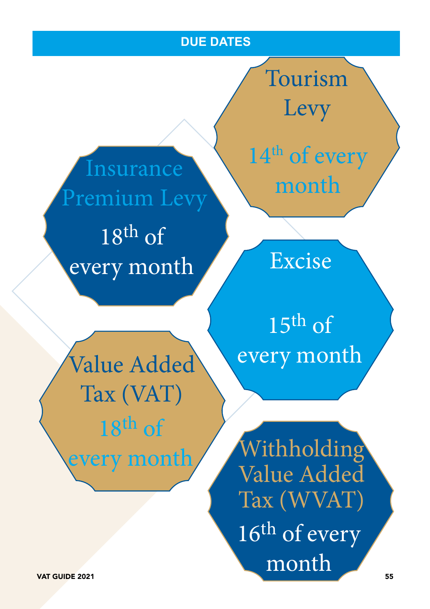# **DUE DATES**

Tourism Levy

Insurance Premium Levy 18th of every month

14<sup>th</sup> of every month

Excise

Value Added Tax (VAT) 18th of every month

 $15<sup>th</sup>$  of every month

Withholding Value Added Tax (WVAT) 16<sup>th</sup> of every month

VAT GUIDE 2021 **1999 - 1999 - 1999 - 1999 - 1999 - 1999 - 1999 - 1999 - 1999 - 1999 - 1999 - 1999 - 1999 - 199**